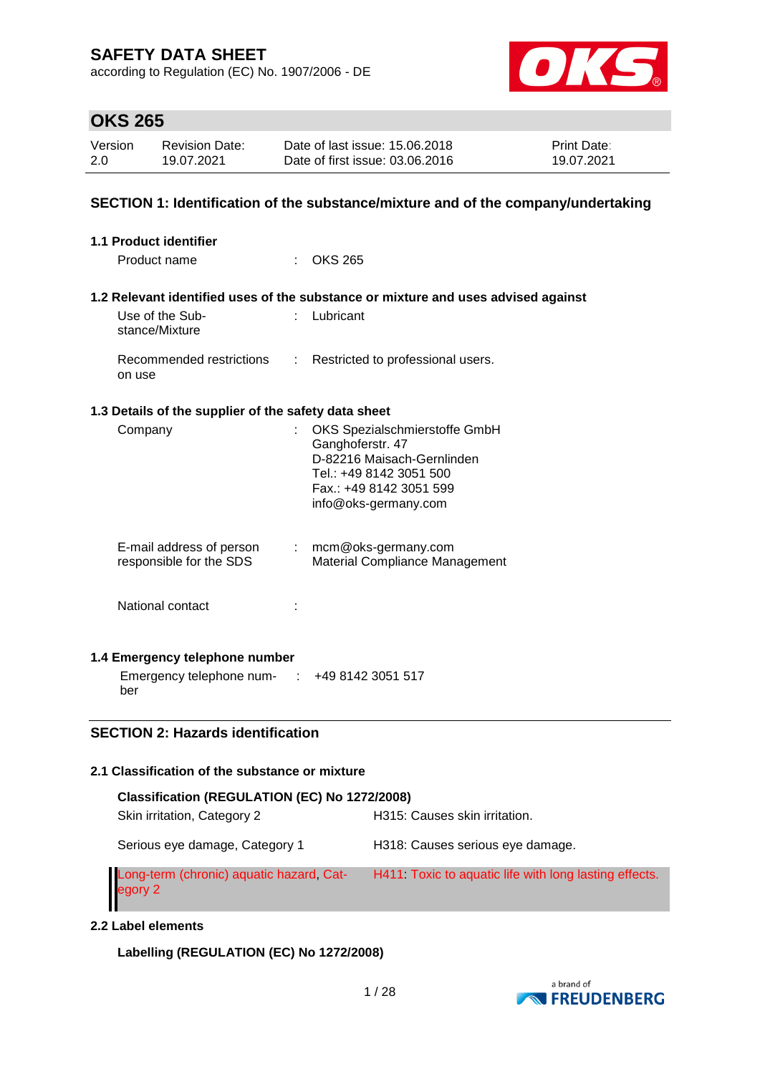according to Regulation (EC) No. 1907/2006 - DE



## **OKS 265**

| Version | <b>Revision Date:</b> | Date of last issue: 15,06,2018  | <b>Print Date:</b> |
|---------|-----------------------|---------------------------------|--------------------|
| 2.0     | 19.07.2021            | Date of first issue: 03.06.2016 | 19.07.2021         |

#### **SECTION 1: Identification of the substance/mixture and of the company/undertaking**

| <b>1.1 Product identifier</b>                        |    |                                                                                                                                                               |
|------------------------------------------------------|----|---------------------------------------------------------------------------------------------------------------------------------------------------------------|
| Product name                                         |    | $\therefore$ OKS 265                                                                                                                                          |
|                                                      |    |                                                                                                                                                               |
|                                                      |    | 1.2 Relevant identified uses of the substance or mixture and uses advised against                                                                             |
| Use of the Sub-<br>stance/Mixture                    |    | : Lubricant                                                                                                                                                   |
| Recommended restrictions<br>on use                   |    | : Restricted to professional users.                                                                                                                           |
| 1.3 Details of the supplier of the safety data sheet |    |                                                                                                                                                               |
| Company                                              | t. | OKS Spezialschmierstoffe GmbH<br>Ganghoferstr. 47<br>D-82216 Maisach-Gernlinden<br>Tel.: +49 8142 3051 500<br>Fax.: +49 8142 3051 599<br>info@oks-germany.com |
| E-mail address of person<br>responsible for the SDS  |    | $:$ mcm@oks-germany.com<br>Material Compliance Management                                                                                                     |
| National contact                                     |    |                                                                                                                                                               |
| 1.4 Emergency telephone number                       |    |                                                                                                                                                               |
| Emergency telephone num- : +49 8142 3051 517<br>ber  |    |                                                                                                                                                               |

### **SECTION 2: Hazards identification**

### **2.1 Classification of the substance or mixture**

| Classification (REGULATION (EC) No 1272/2008)       |                                                       |  |  |  |
|-----------------------------------------------------|-------------------------------------------------------|--|--|--|
| Skin irritation, Category 2                         | H315: Causes skin irritation.                         |  |  |  |
| Serious eye damage, Category 1                      | H318: Causes serious eye damage.                      |  |  |  |
| Long-term (chronic) aquatic hazard, Cat-<br>egory 2 | H411 Toxic to aguatic life with long lasting effects. |  |  |  |

#### **2.2 Label elements**

**Labelling (REGULATION (EC) No 1272/2008)**

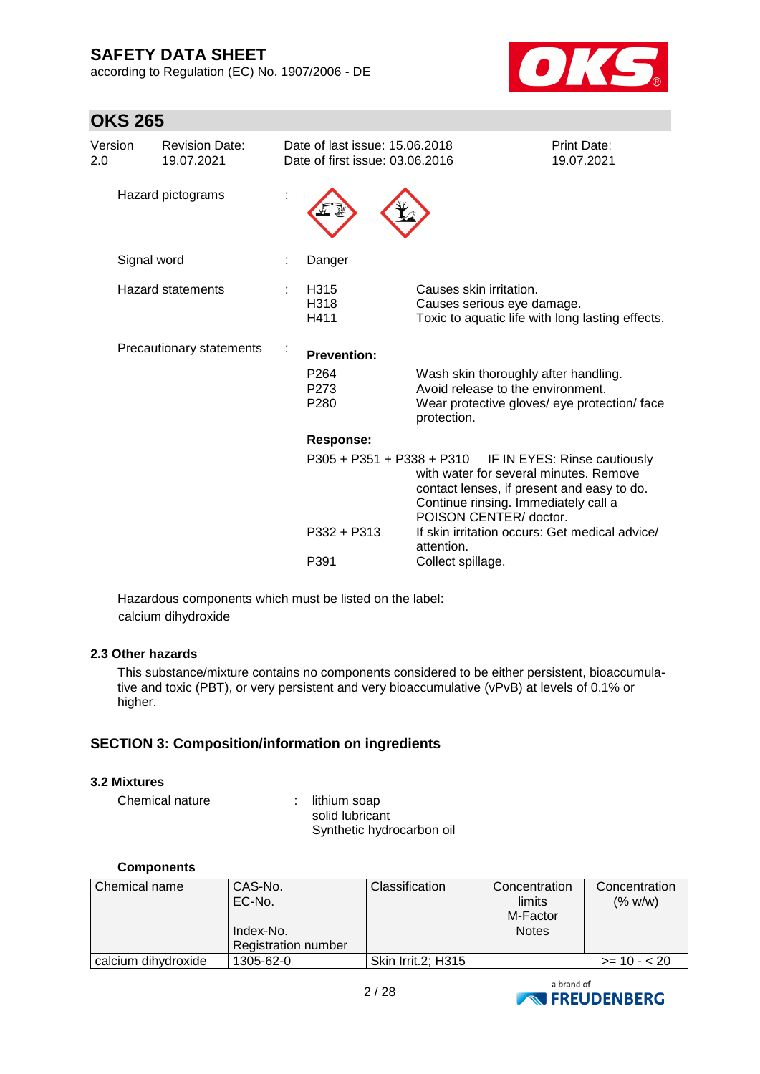**OKS 265**

according to Regulation (EC) No. 1907/2006 - DE



| Version<br>2.0           | <b>Revision Date:</b><br>19.07.2021 | Date of last issue: 15.06.2018<br>Date of first issue: 03.06.2016 |                                                                                                                                                                                                                  | Print Date:<br>19.07.2021 |
|--------------------------|-------------------------------------|-------------------------------------------------------------------|------------------------------------------------------------------------------------------------------------------------------------------------------------------------------------------------------------------|---------------------------|
|                          | Hazard pictograms                   |                                                                   |                                                                                                                                                                                                                  |                           |
|                          | Signal word                         | Danger                                                            |                                                                                                                                                                                                                  |                           |
| Hazard statements        |                                     | H315<br>H318<br>H411                                              | Causes skin irritation.<br>Causes serious eye damage.<br>Toxic to aquatic life with long lasting effects.                                                                                                        |                           |
| Precautionary statements |                                     | <b>Prevention:</b>                                                |                                                                                                                                                                                                                  |                           |
|                          |                                     | P <sub>264</sub><br>P273<br>P <sub>280</sub>                      | Wash skin thoroughly after handling.<br>Avoid release to the environment.<br>Wear protective gloves/ eye protection/ face<br>protection.                                                                         |                           |
|                          |                                     | <b>Response:</b>                                                  |                                                                                                                                                                                                                  |                           |
|                          |                                     |                                                                   | P305 + P351 + P338 + P310 IF IN EYES: Rinse cautiously<br>with water for several minutes. Remove<br>contact lenses, if present and easy to do.<br>Continue rinsing. Immediately call a<br>POISON CENTER/ doctor. |                           |
|                          |                                     | P332 + P313                                                       | If skin irritation occurs: Get medical advice/<br>attention.                                                                                                                                                     |                           |
|                          |                                     | P391                                                              | Collect spillage.                                                                                                                                                                                                |                           |

Hazardous components which must be listed on the label: calcium dihydroxide

#### **2.3 Other hazards**

This substance/mixture contains no components considered to be either persistent, bioaccumulative and toxic (PBT), or very persistent and very bioaccumulative (vPvB) at levels of 0.1% or higher.

### **SECTION 3: Composition/information on ingredients**

#### **3.2 Mixtures**

Chemical nature : lithium soap

solid lubricant Synthetic hydrocarbon oil

#### **Components**

| Chemical name       | CAS-No.<br>EC-No.<br>Index-No.<br>Registration number | <b>Classification</b> | Concentration<br>limits<br>M-Factor<br><b>Notes</b> | Concentration<br>(% w/w) |
|---------------------|-------------------------------------------------------|-----------------------|-----------------------------------------------------|--------------------------|
| calcium dihydroxide | 1305-62-0                                             | Skin Irrit.2; H315    |                                                     | $>= 10 - 20$             |

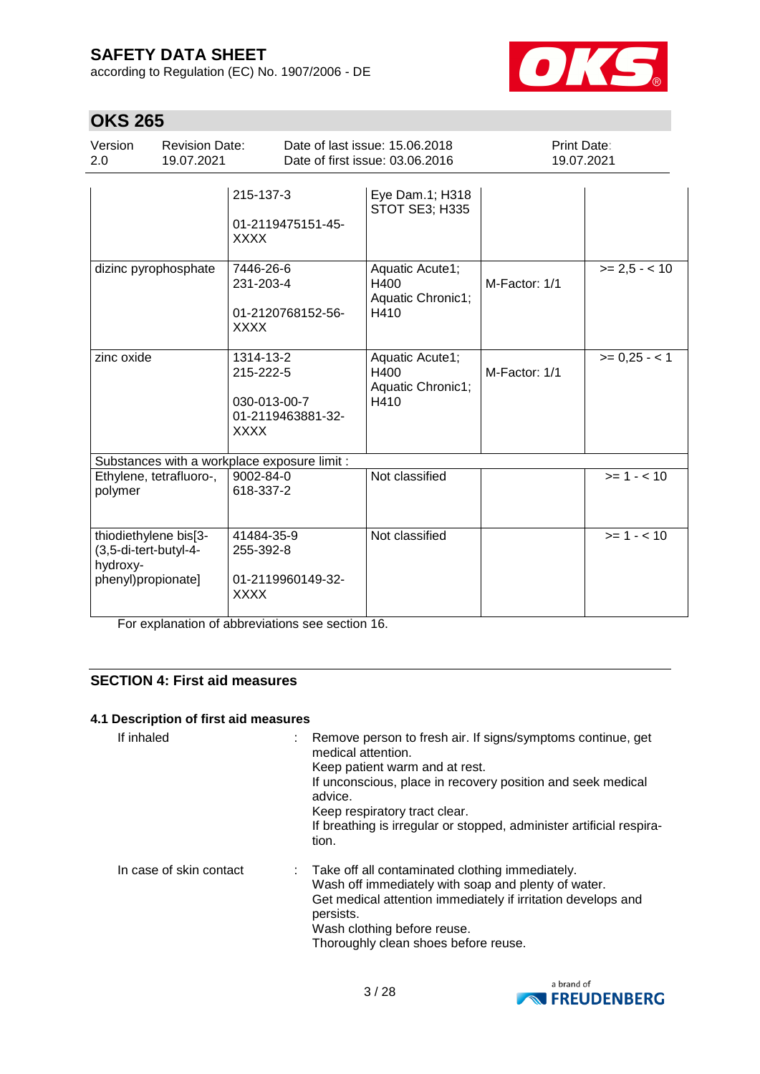according to Regulation (EC) No. 1907/2006 - DE



# **OKS 265**

| ,,,,,,,,,                                                                        |                                     |                                                                            |                                                                   |                                  |               |
|----------------------------------------------------------------------------------|-------------------------------------|----------------------------------------------------------------------------|-------------------------------------------------------------------|----------------------------------|---------------|
| Version<br>2.0                                                                   | <b>Revision Date:</b><br>19.07.2021 |                                                                            | Date of last issue: 15.06.2018<br>Date of first issue: 03.06.2016 | <b>Print Date:</b><br>19.07.2021 |               |
|                                                                                  |                                     | 215-137-3<br>01-2119475151-45-<br><b>XXXX</b>                              | Eye Dam.1; H318<br><b>STOT SE3; H335</b>                          |                                  |               |
| dizinc pyrophosphate                                                             |                                     | 7446-26-6<br>231-203-4<br>01-2120768152-56-<br><b>XXXX</b>                 | Aquatic Acute1;<br>H400<br>Aquatic Chronic1;<br>H410              | M-Factor: 1/1                    | $>= 2.5 - 10$ |
| zinc oxide                                                                       |                                     | 1314-13-2<br>215-222-5<br>030-013-00-7<br>01-2119463881-32-<br><b>XXXX</b> | Aquatic Acute1;<br>H400<br>Aquatic Chronic1;<br>H410              | M-Factor: 1/1                    | $>= 0,25 - 1$ |
|                                                                                  |                                     | Substances with a workplace exposure limit :                               |                                                                   |                                  |               |
| Ethylene, tetrafluoro-,<br>polymer                                               |                                     | 9002-84-0<br>618-337-2                                                     | Not classified                                                    |                                  | $>= 1 - 10$   |
| thiodiethylene bis[3-<br>(3,5-di-tert-butyl-4-<br>hydroxy-<br>phenyl)propionate] |                                     | 41484-35-9<br>255-392-8<br>01-2119960149-32-<br><b>XXXX</b>                | Not classified                                                    |                                  | $>= 1 - 10$   |

For explanation of abbreviations see section 16.

### **SECTION 4: First aid measures**

#### **4.1 Description of first aid measures**

| If inhaled              | Remove person to fresh air. If signs/symptoms continue, get<br>medical attention.<br>Keep patient warm and at rest.<br>If unconscious, place in recovery position and seek medical<br>advice.<br>Keep respiratory tract clear.<br>If breathing is irregular or stopped, administer artificial respira-<br>tion. |
|-------------------------|-----------------------------------------------------------------------------------------------------------------------------------------------------------------------------------------------------------------------------------------------------------------------------------------------------------------|
| In case of skin contact | : Take off all contaminated clothing immediately.<br>Wash off immediately with soap and plenty of water.<br>Get medical attention immediately if irritation develops and<br>persists.<br>Wash clothing before reuse.<br>Thoroughly clean shoes before reuse.                                                    |

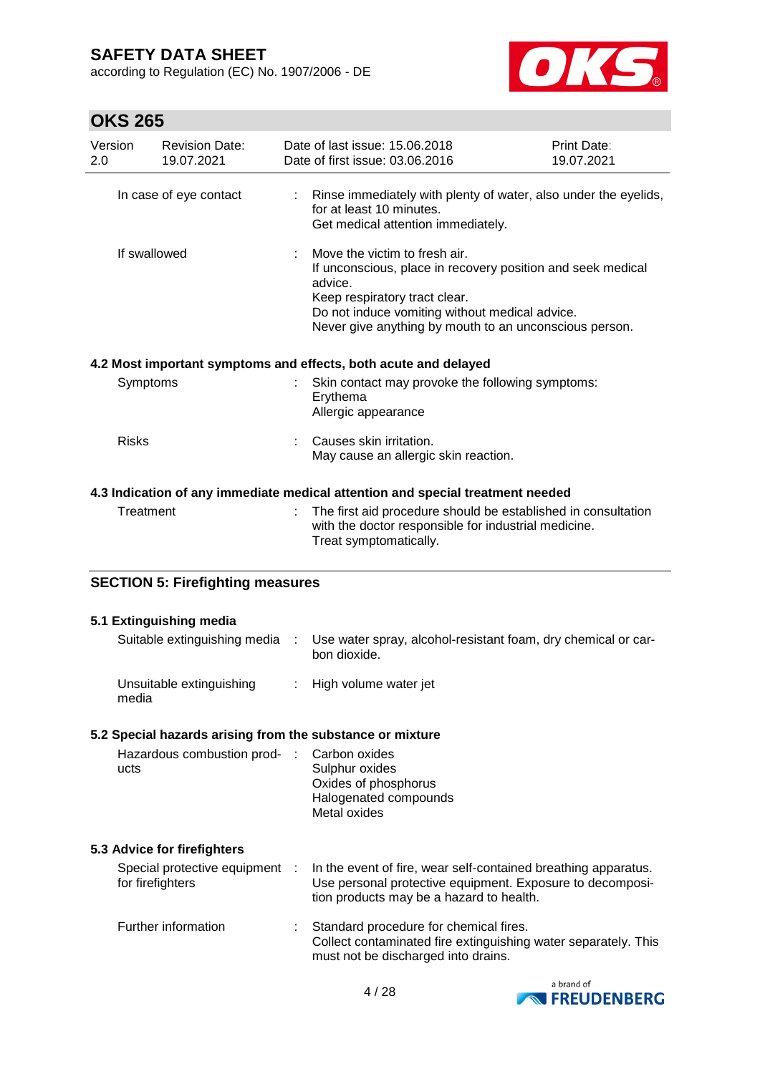according to Regulation (EC) No. 1907/2006 - DE



| Version<br>2.0 | <b>Revision Date:</b><br>19.07.2021                | Date of last issue: 15.06.2018<br>Date of first issue: 03.06.2016                                                                                                                                                                                    | <b>Print Date:</b><br>19.07.2021 |
|----------------|----------------------------------------------------|------------------------------------------------------------------------------------------------------------------------------------------------------------------------------------------------------------------------------------------------------|----------------------------------|
|                | In case of eye contact                             | Rinse immediately with plenty of water, also under the eyelids,<br>for at least 10 minutes.<br>Get medical attention immediately.                                                                                                                    |                                  |
| If swallowed   |                                                    | Move the victim to fresh air.<br>If unconscious, place in recovery position and seek medical<br>advice.<br>Keep respiratory tract clear.<br>Do not induce vomiting without medical advice.<br>Never give anything by mouth to an unconscious person. |                                  |
|                |                                                    | 4.2 Most important symptoms and effects, both acute and delayed                                                                                                                                                                                      |                                  |
| Symptoms       |                                                    | Skin contact may provoke the following symptoms:<br>Erythema<br>Allergic appearance                                                                                                                                                                  |                                  |
| <b>Risks</b>   |                                                    | Causes skin irritation.<br>May cause an allergic skin reaction.                                                                                                                                                                                      |                                  |
|                |                                                    | 4.3 Indication of any immediate medical attention and special treatment needed                                                                                                                                                                       |                                  |
| Treatment      |                                                    | The first aid procedure should be established in consultation<br>with the doctor responsible for industrial medicine.<br>Treat symptomatically.                                                                                                      |                                  |
|                | <b>SECTION 5: Firefighting measures</b>            |                                                                                                                                                                                                                                                      |                                  |
|                | 5.1 Extinguishing media                            |                                                                                                                                                                                                                                                      |                                  |
|                | Suitable extinguishing media                       | Use water spray, alcohol-resistant foam, dry chemical or car-<br>bon dioxide.                                                                                                                                                                        |                                  |
| media          | Unsuitable extinguishing                           | High volume water jet                                                                                                                                                                                                                                |                                  |
|                |                                                    | 5.2 Special hazards arising from the substance or mixture                                                                                                                                                                                            |                                  |
| ucts           | Hazardous combustion prod-                         | Carbon oxides<br>Sulphur oxides<br>Oxides of phosphorus<br>Halogenated compounds<br>Metal oxides                                                                                                                                                     |                                  |
|                | 5.3 Advice for firefighters                        |                                                                                                                                                                                                                                                      |                                  |
|                | Special protective equipment :<br>for firefighters | In the event of fire, wear self-contained breathing apparatus.<br>Use personal protective equipment. Exposure to decomposi-<br>tion products may be a hazard to health.                                                                              |                                  |
|                | Further information                                | Standard procedure for chemical fires.<br>Collect contaminated fire extinguishing water separately. This<br>must not be discharged into drains.                                                                                                      |                                  |

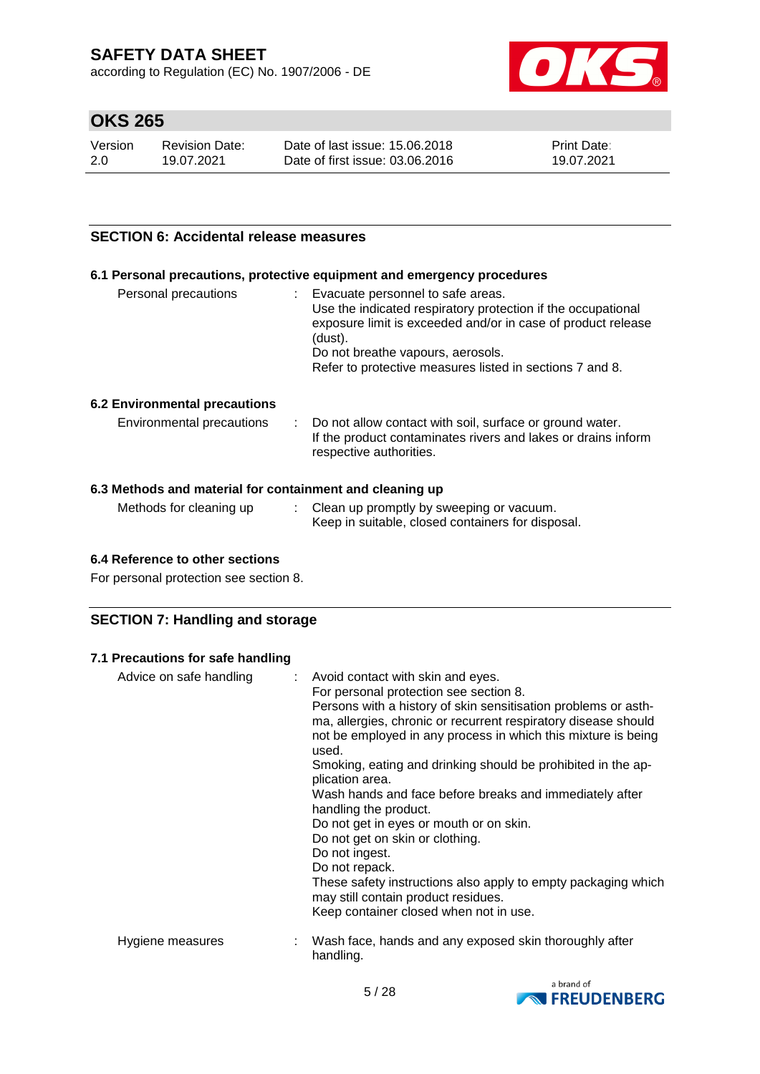according to Regulation (EC) No. 1907/2006 - DE



## **OKS 265**

| Version | <b>Revision Date:</b> | Date of last issue: 15,06,2018  | <b>Print Date:</b> |
|---------|-----------------------|---------------------------------|--------------------|
| 2.0     | 19.07.2021            | Date of first issue: 03.06.2016 | 19.07.2021         |

#### **SECTION 6: Accidental release measures**

#### **6.1 Personal precautions, protective equipment and emergency procedures**

| (dust).<br>Do not breathe vapours, aerosols.<br>Refer to protective measures listed in sections 7 and 8. | Personal precautions | Evacuate personnel to safe areas.<br>Use the indicated respiratory protection if the occupational<br>exposure limit is exceeded and/or in case of product release |
|----------------------------------------------------------------------------------------------------------|----------------------|-------------------------------------------------------------------------------------------------------------------------------------------------------------------|
|----------------------------------------------------------------------------------------------------------|----------------------|-------------------------------------------------------------------------------------------------------------------------------------------------------------------|

#### **6.2 Environmental precautions**

| Environmental precautions |  | : Do not allow contact with soil, surface or ground water.<br>If the product contaminates rivers and lakes or drains inform<br>respective authorities. |
|---------------------------|--|--------------------------------------------------------------------------------------------------------------------------------------------------------|
|---------------------------|--|--------------------------------------------------------------------------------------------------------------------------------------------------------|

#### **6.3 Methods and material for containment and cleaning up**

| Methods for cleaning up | Clean up promptly by sweeping or vacuum.          |
|-------------------------|---------------------------------------------------|
|                         | Keep in suitable, closed containers for disposal. |

#### **6.4 Reference to other sections**

For personal protection see section 8.

### **SECTION 7: Handling and storage**

#### **7.1 Precautions for safe handling**

| Advice on safe handling | : Avoid contact with skin and eyes.<br>For personal protection see section 8.<br>Persons with a history of skin sensitisation problems or asth-<br>ma, allergies, chronic or recurrent respiratory disease should<br>not be employed in any process in which this mixture is being<br>used.<br>Smoking, eating and drinking should be prohibited in the ap-<br>plication area.<br>Wash hands and face before breaks and immediately after<br>handling the product.<br>Do not get in eyes or mouth or on skin.<br>Do not get on skin or clothing.<br>Do not ingest.<br>Do not repack.<br>These safety instructions also apply to empty packaging which<br>may still contain product residues.<br>Keep container closed when not in use. |
|-------------------------|----------------------------------------------------------------------------------------------------------------------------------------------------------------------------------------------------------------------------------------------------------------------------------------------------------------------------------------------------------------------------------------------------------------------------------------------------------------------------------------------------------------------------------------------------------------------------------------------------------------------------------------------------------------------------------------------------------------------------------------|
| Hygiene measures        | : Wash face, hands and any exposed skin thoroughly after<br>handling.                                                                                                                                                                                                                                                                                                                                                                                                                                                                                                                                                                                                                                                                  |

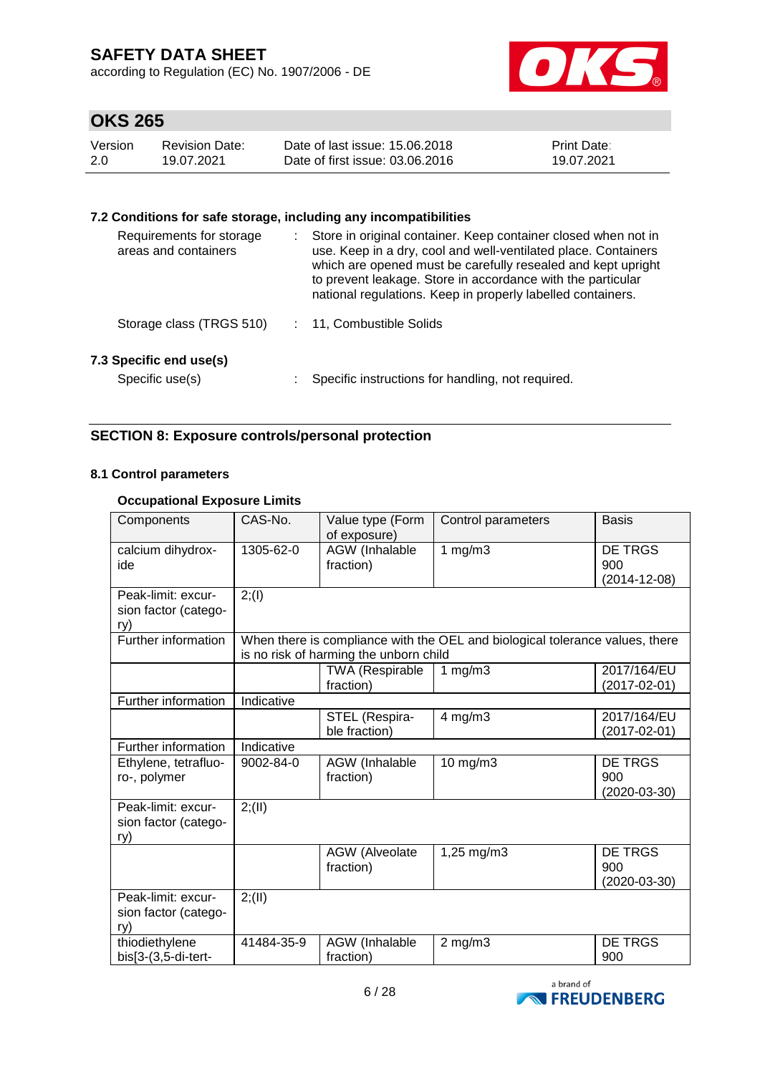according to Regulation (EC) No. 1907/2006 - DE



# **OKS 265**

| Version | Revision Date: | Date of last issue: 15,06,2018  | <b>Print Date:</b> |
|---------|----------------|---------------------------------|--------------------|
| 2.0     | 19.07.2021     | Date of first issue: 03.06.2016 | 19.07.2021         |

### **7.2 Conditions for safe storage, including any incompatibilities**

| Requirements for storage<br>areas and containers | Store in original container. Keep container closed when not in<br>use. Keep in a dry, cool and well-ventilated place. Containers<br>which are opened must be carefully resealed and kept upright<br>to prevent leakage. Store in accordance with the particular<br>national regulations. Keep in properly labelled containers. |
|--------------------------------------------------|--------------------------------------------------------------------------------------------------------------------------------------------------------------------------------------------------------------------------------------------------------------------------------------------------------------------------------|
| Storage class (TRGS 510)                         | : 11, Combustible Solids                                                                                                                                                                                                                                                                                                       |
| 7.3 Specific end use(s)<br>Specific use(s)       | Specific instructions for handling, not required.                                                                                                                                                                                                                                                                              |

### **SECTION 8: Exposure controls/personal protection**

#### **8.1 Control parameters**

### **Occupational Exposure Limits**

| Components                                        | CAS-No.    | Value type (Form<br>of exposure)       | Control parameters                                                           | <b>Basis</b>                            |
|---------------------------------------------------|------------|----------------------------------------|------------------------------------------------------------------------------|-----------------------------------------|
| calcium dihydrox-<br>ide                          | 1305-62-0  | AGW (Inhalable<br>fraction)            | 1 $mg/m3$                                                                    | DE TRGS<br>900<br>$(2014 - 12 - 08)$    |
| Peak-limit: excur-<br>sion factor (catego-<br>ry) | 2; (1)     |                                        |                                                                              |                                         |
| Further information                               |            | is no risk of harming the unborn child | When there is compliance with the OEL and biological tolerance values, there |                                         |
|                                                   |            | <b>TWA (Respirable</b><br>fraction)    | 1 $mg/m3$                                                                    | 2017/164/EU<br>$(2017 - 02 - 01)$       |
| Further information                               | Indicative |                                        |                                                                              |                                         |
|                                                   |            | STEL (Respira-<br>ble fraction)        | $4$ mg/m $3$                                                                 | 2017/164/EU<br>$(2017 - 02 - 01)$       |
| Further information                               | Indicative |                                        |                                                                              |                                         |
| Ethylene, tetrafluo-<br>ro-, polymer              | 9002-84-0  | AGW (Inhalable<br>fraction)            | 10 mg/m3                                                                     | DE TRGS<br>900<br>$(2020-03-30)$        |
| Peak-limit: excur-<br>sion factor (catego-<br>ry) | 2; (II)    |                                        |                                                                              |                                         |
|                                                   |            | <b>AGW</b> (Alveolate<br>fraction)     | 1,25 mg/m3                                                                   | <b>DE TRGS</b><br>900<br>$(2020-03-30)$ |
| Peak-limit: excur-<br>sion factor (catego-<br>ry) | 2; (II)    |                                        |                                                                              |                                         |
| thiodiethylene<br>bis[3-(3,5-di-tert-             | 41484-35-9 | AGW (Inhalable<br>fraction)            | $2$ mg/m $3$                                                                 | <b>DE TRGS</b><br>900                   |

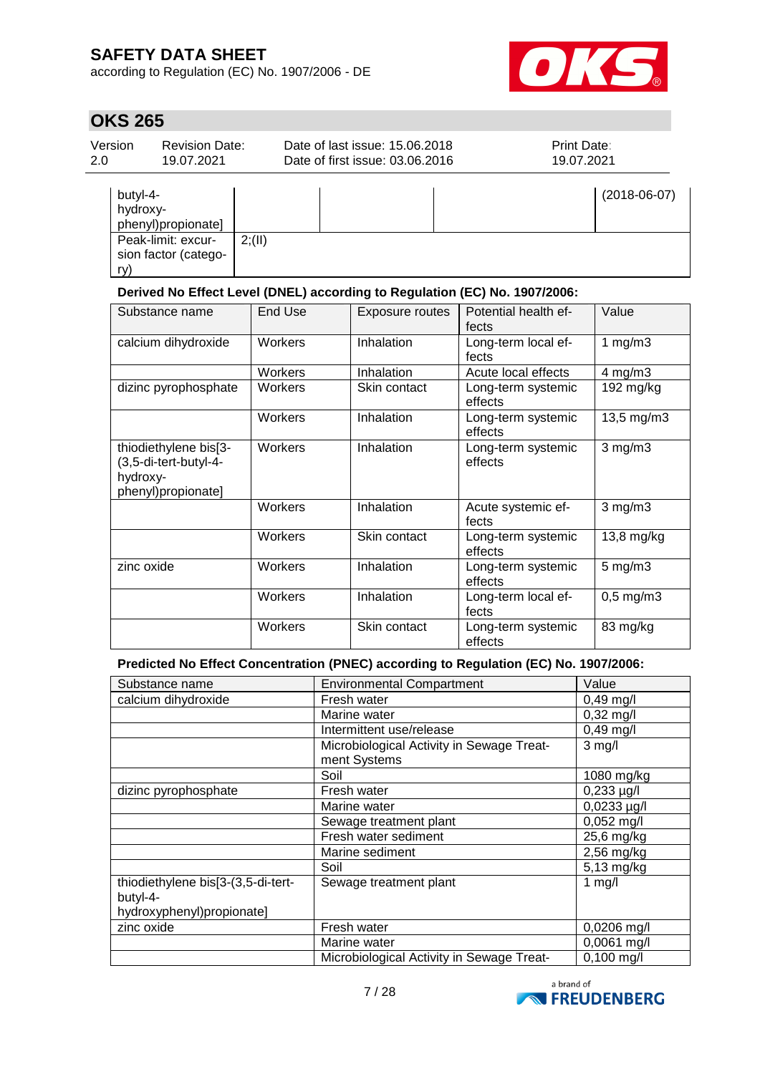according to Regulation (EC) No. 1907/2006 - DE



## **OKS 265**

| Version<br>2.0       | <b>Revision Date:</b><br>19.07.2021        |       | Date of last issue: 15.06.2018<br>Date of first issue: 03.06.2016 | Print Date:<br>19.07.2021 |
|----------------------|--------------------------------------------|-------|-------------------------------------------------------------------|---------------------------|
| butyl-4-<br>hydroxy- | phenyl)propionate]                         |       |                                                                   | $(2018-06-07)$            |
| ry)                  | Peak-limit: excur-<br>sion factor (catego- | 2(11) |                                                                   |                           |

### **Derived No Effect Level (DNEL) according to Regulation (EC) No. 1907/2006:**

| Substance name                                                                   | End Use | <b>Exposure routes</b> | Potential health ef-<br>fects | Value                |
|----------------------------------------------------------------------------------|---------|------------------------|-------------------------------|----------------------|
| calcium dihydroxide                                                              | Workers | Inhalation             | Long-term local ef-<br>fects  | 1 $mg/m3$            |
|                                                                                  | Workers | Inhalation             | Acute local effects           | $4$ mg/m $3$         |
| dizinc pyrophosphate                                                             | Workers | Skin contact           | Long-term systemic<br>effects | 192 mg/kg            |
|                                                                                  | Workers | Inhalation             | Long-term systemic<br>effects | 13,5 mg/m3           |
| thiodiethylene bis[3-<br>(3,5-di-tert-butyl-4-<br>hydroxy-<br>phenyl)propionate] | Workers | Inhalation             | Long-term systemic<br>effects | $3$ mg/m $3$         |
|                                                                                  | Workers | Inhalation             | Acute systemic ef-<br>fects   | $3$ mg/m $3$         |
|                                                                                  | Workers | Skin contact           | Long-term systemic<br>effects | $13,8 \text{ mg/kg}$ |
| zinc oxide                                                                       | Workers | Inhalation             | Long-term systemic<br>effects | $5 \text{ mg/m}$ 3   |
|                                                                                  | Workers | Inhalation             | Long-term local ef-<br>fects  | $0,5$ mg/m $3$       |
|                                                                                  | Workers | Skin contact           | Long-term systemic<br>effects | 83 mg/kg             |

### **Predicted No Effect Concentration (PNEC) according to Regulation (EC) No. 1907/2006:**

| Substance name                                                              | <b>Environmental Compartment</b>                          | Value            |
|-----------------------------------------------------------------------------|-----------------------------------------------------------|------------------|
| calcium dihydroxide                                                         | Fresh water                                               | $0,49$ mg/l      |
|                                                                             | Marine water                                              | $0,32$ mg/l      |
|                                                                             | Intermittent use/release                                  | $0,49$ mg/l      |
|                                                                             | Microbiological Activity in Sewage Treat-<br>ment Systems | $3$ mg/l         |
|                                                                             | Soil                                                      | 1080 mg/kg       |
| dizinc pyrophosphate                                                        | Fresh water                                               | $0,233 \mu g/l$  |
|                                                                             | Marine water                                              | $0,0233 \mu g/l$ |
|                                                                             | Sewage treatment plant                                    | 0,052 mg/l       |
|                                                                             | Fresh water sediment                                      | 25,6 mg/kg       |
|                                                                             | Marine sediment                                           | $2,56$ mg/kg     |
|                                                                             | Soil                                                      | 5,13 mg/kg       |
| thiodiethylene bis[3-(3,5-di-tert-<br>butyl-4-<br>hydroxyphenyl)propionate] | Sewage treatment plant                                    | 1 $mg/l$         |
| zinc oxide                                                                  | Fresh water                                               | 0,0206 mg/l      |
|                                                                             | Marine water                                              | 0,0061 mg/l      |
|                                                                             | Microbiological Activity in Sewage Treat-                 | $0,100$ mg/l     |

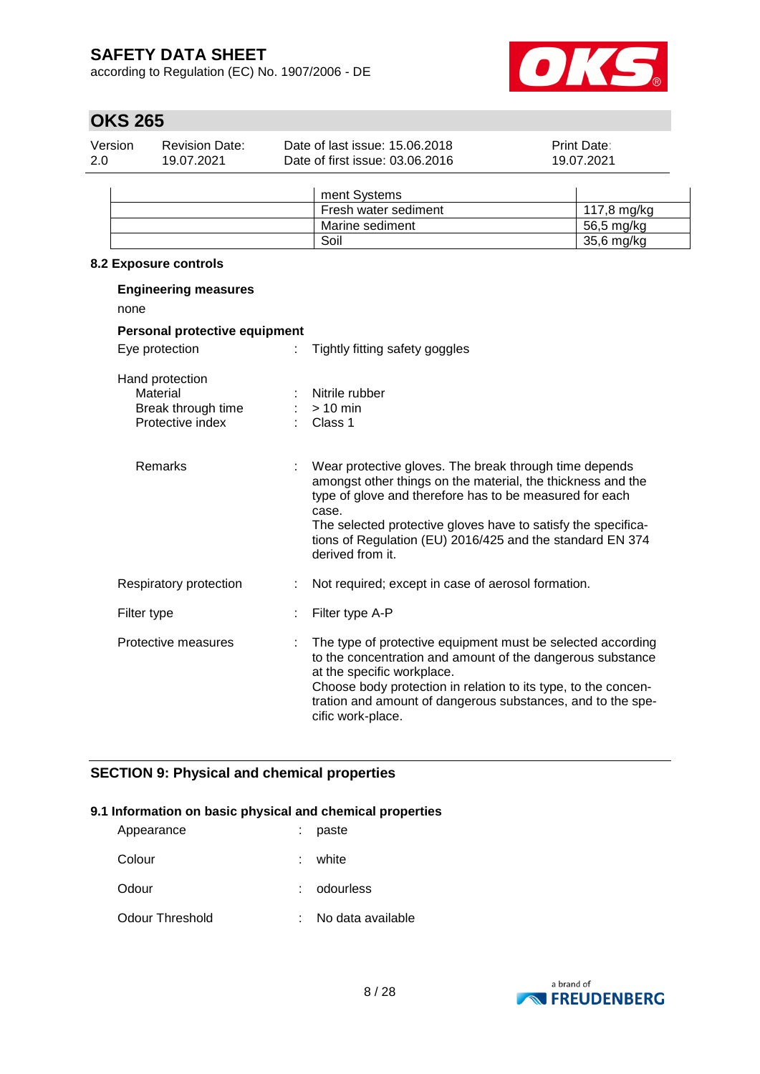according to Regulation (EC) No. 1907/2006 - DE



# **OKS 265**

| Version | <b>Revision Date:</b> | Date of last issue: 15.06.2018  | <b>Print Date:</b> |  |
|---------|-----------------------|---------------------------------|--------------------|--|
| 2.0     | 19.07.2021            | Date of first issue: 03.06.2016 | 19.07.2021         |  |
|         |                       |                                 |                    |  |

|  | ment Systems         |             |
|--|----------------------|-------------|
|  | Fresh water sediment | 117.8 ma/ka |
|  | Marine sediment      | 56,5 mg/kg  |
|  | Soil                 | 35,6 mg/kg  |

#### **8.2 Exposure controls**

| <b>Engineering measures</b><br>none                                   |                                      |                                                                                                                                                                                                                                                                                                                                             |  |  |  |  |  |
|-----------------------------------------------------------------------|--------------------------------------|---------------------------------------------------------------------------------------------------------------------------------------------------------------------------------------------------------------------------------------------------------------------------------------------------------------------------------------------|--|--|--|--|--|
|                                                                       | <b>Personal protective equipment</b> |                                                                                                                                                                                                                                                                                                                                             |  |  |  |  |  |
| Eye protection                                                        | ÷.                                   | Tightly fitting safety goggles                                                                                                                                                                                                                                                                                                              |  |  |  |  |  |
| Hand protection<br>Material<br>Break through time<br>Protective index |                                      | Nitrile rubber<br>$:$ > 10 min<br>Class 1                                                                                                                                                                                                                                                                                                   |  |  |  |  |  |
| Remarks                                                               |                                      | Wear protective gloves. The break through time depends<br>amongst other things on the material, the thickness and the<br>type of glove and therefore has to be measured for each<br>case.<br>The selected protective gloves have to satisfy the specifica-<br>tions of Regulation (EU) 2016/425 and the standard EN 374<br>derived from it. |  |  |  |  |  |
| Respiratory protection                                                | ÷                                    | Not required; except in case of aerosol formation.                                                                                                                                                                                                                                                                                          |  |  |  |  |  |
| Filter type                                                           |                                      | Filter type A-P                                                                                                                                                                                                                                                                                                                             |  |  |  |  |  |
| Protective measures                                                   |                                      | The type of protective equipment must be selected according<br>to the concentration and amount of the dangerous substance<br>at the specific workplace.<br>Choose body protection in relation to its type, to the concen-<br>tration and amount of dangerous substances, and to the spe-<br>cific work-place.                               |  |  |  |  |  |

### **SECTION 9: Physical and chemical properties**

#### **9.1 Information on basic physical and chemical properties**

| Appearance      | paste             |
|-----------------|-------------------|
| Colour          | : white           |
| Odour           | : odourless       |
| Odour Threshold | No data available |

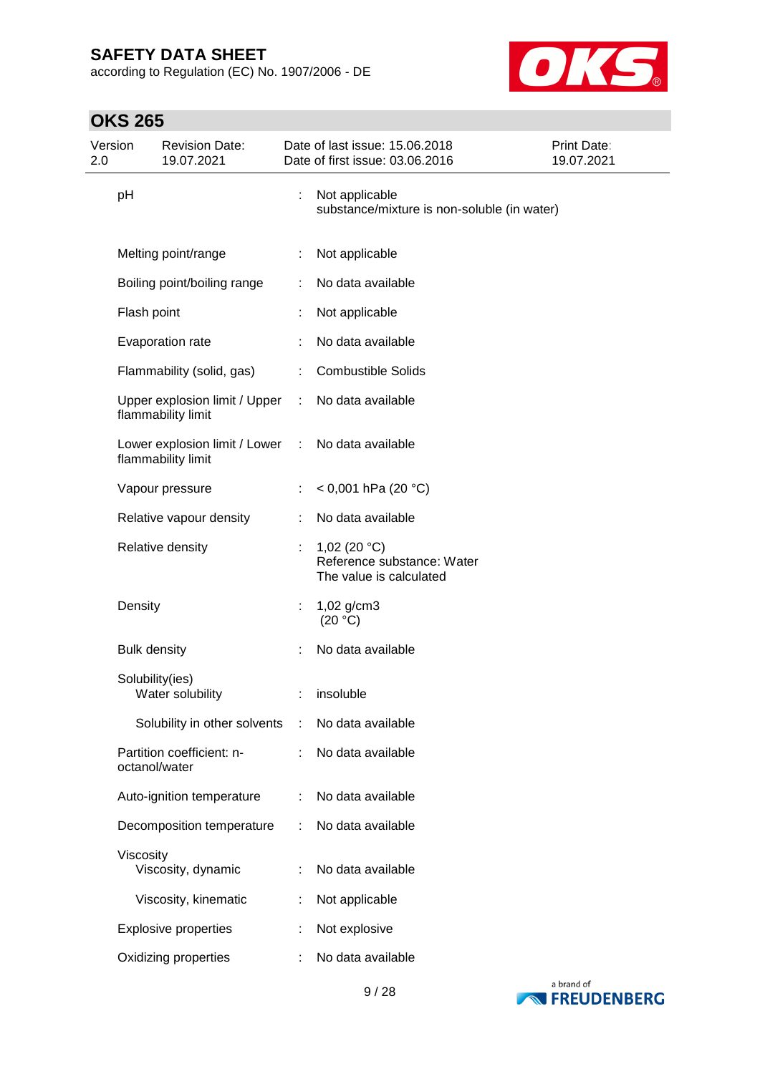according to Regulation (EC) No. 1907/2006 - DE



| Version<br>2.0 |                     | <b>Revision Date:</b><br>19.07.2021                 |    | Date of last issue: 15.06.2018<br>Date of first issue: 03.06.2016        | Print Date:<br>19.07.2021 |
|----------------|---------------------|-----------------------------------------------------|----|--------------------------------------------------------------------------|---------------------------|
|                | pH                  |                                                     | ÷. | Not applicable<br>substance/mixture is non-soluble (in water)            |                           |
|                |                     | Melting point/range                                 |    | Not applicable                                                           |                           |
|                |                     | Boiling point/boiling range                         |    | No data available                                                        |                           |
|                | Flash point         |                                                     |    | Not applicable                                                           |                           |
|                |                     | Evaporation rate                                    |    | No data available                                                        |                           |
|                |                     | Flammability (solid, gas)                           | ÷  | <b>Combustible Solids</b>                                                |                           |
|                |                     | Upper explosion limit / Upper<br>flammability limit |    | No data available                                                        |                           |
|                |                     | Lower explosion limit / Lower<br>flammability limit | ÷. | No data available                                                        |                           |
|                |                     | Vapour pressure                                     | ÷  | < 0,001 hPa (20 °C)                                                      |                           |
|                |                     | Relative vapour density                             |    | No data available                                                        |                           |
|                |                     | Relative density                                    |    | 1,02 (20 $°C$ )<br>Reference substance: Water<br>The value is calculated |                           |
|                | Density             |                                                     | ÷  | 1,02 g/cm3<br>(20 °C)                                                    |                           |
|                | <b>Bulk density</b> |                                                     |    | No data available                                                        |                           |
|                | Solubility(ies)     | Water solubility                                    |    | insoluble                                                                |                           |
|                |                     | Solubility in other solvents                        | ÷  | No data available                                                        |                           |
|                | octanol/water       | Partition coefficient: n-                           |    | No data available                                                        |                           |
|                |                     | Auto-ignition temperature                           |    | No data available                                                        |                           |
|                |                     | Decomposition temperature                           |    | No data available                                                        |                           |
|                | Viscosity           | Viscosity, dynamic                                  |    | No data available                                                        |                           |
|                |                     | Viscosity, kinematic                                |    | Not applicable                                                           |                           |
|                |                     | <b>Explosive properties</b>                         |    | Not explosive                                                            |                           |
|                |                     | Oxidizing properties                                |    | No data available                                                        |                           |

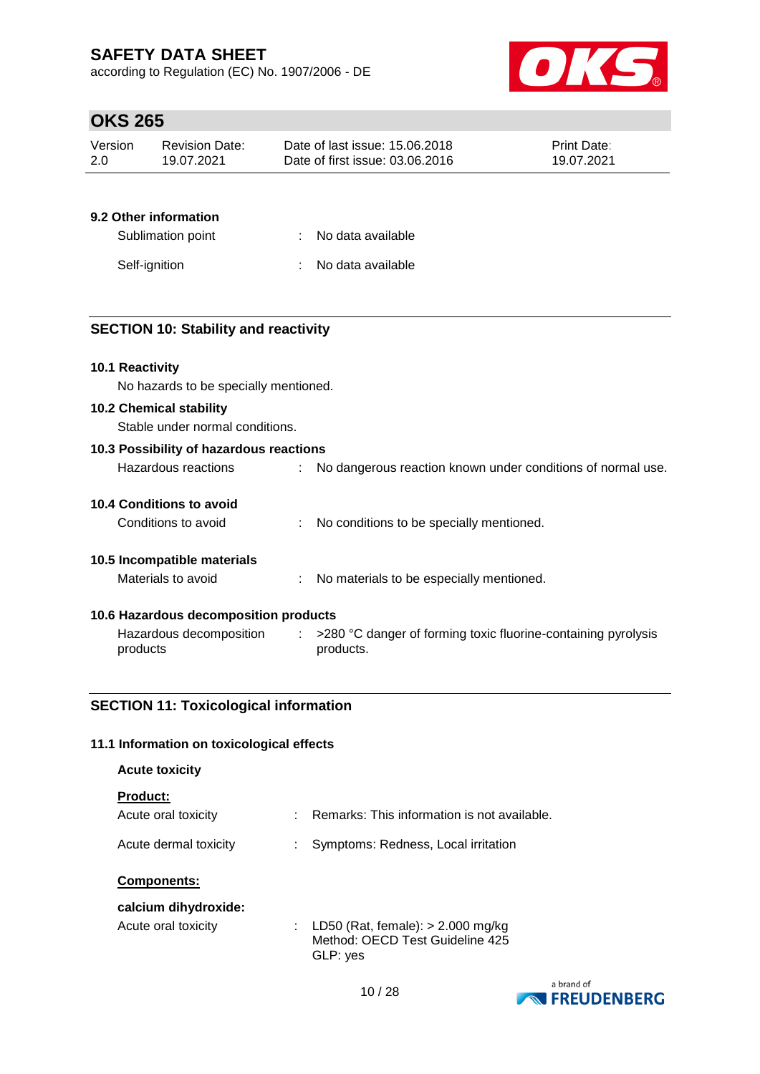according to Regulation (EC) No. 1907/2006 - DE



## **OKS 265**

| Version | <b>Revision Date:</b> | Date of last issue: 15.06.2018  | <b>Print Date:</b> |
|---------|-----------------------|---------------------------------|--------------------|
| 2.0     | 19.07.2021            | Date of first issue: 03.06.2016 | 19.07.2021         |

### **9.2 Other information**

| Sublimation point | : No data available |
|-------------------|---------------------|
| Self-ignition     | : No data available |

### **SECTION 10: Stability and reactivity**

### **10.1 Reactivity**

No hazards to be specially mentioned.

#### **10.2 Chemical stability**

Stable under normal conditions.

| 10.3 Possibility of hazardous reactions |                                                                            |
|-----------------------------------------|----------------------------------------------------------------------------|
| Hazardous reactions                     | No dangerous reaction known under conditions of normal use.                |
| 10.4 Conditions to avoid                |                                                                            |
| Conditions to avoid                     | No conditions to be specially mentioned.                                   |
| 10.5 Incompatible materials             |                                                                            |
| Materials to avoid                      | No materials to be especially mentioned.                                   |
| 10.6 Hazardous decomposition products   |                                                                            |
| Hazardous decomposition<br>products     | >280 °C danger of forming toxic fluorine-containing pyrolysis<br>products. |

### **SECTION 11: Toxicological information**

#### **11.1 Information on toxicological effects**

| <b>Acute toxicity</b>                       |    |                                                                                    |
|---------------------------------------------|----|------------------------------------------------------------------------------------|
| <b>Product:</b><br>Acute oral toxicity      |    | Remarks: This information is not available.                                        |
| Acute dermal toxicity<br><b>Components:</b> | ÷  | Symptoms: Redness, Local irritation                                                |
| calcium dihydroxide:<br>Acute oral toxicity | t. | LD50 (Rat, female): $>$ 2.000 mg/kg<br>Method: OECD Test Guideline 425<br>GLP: yes |

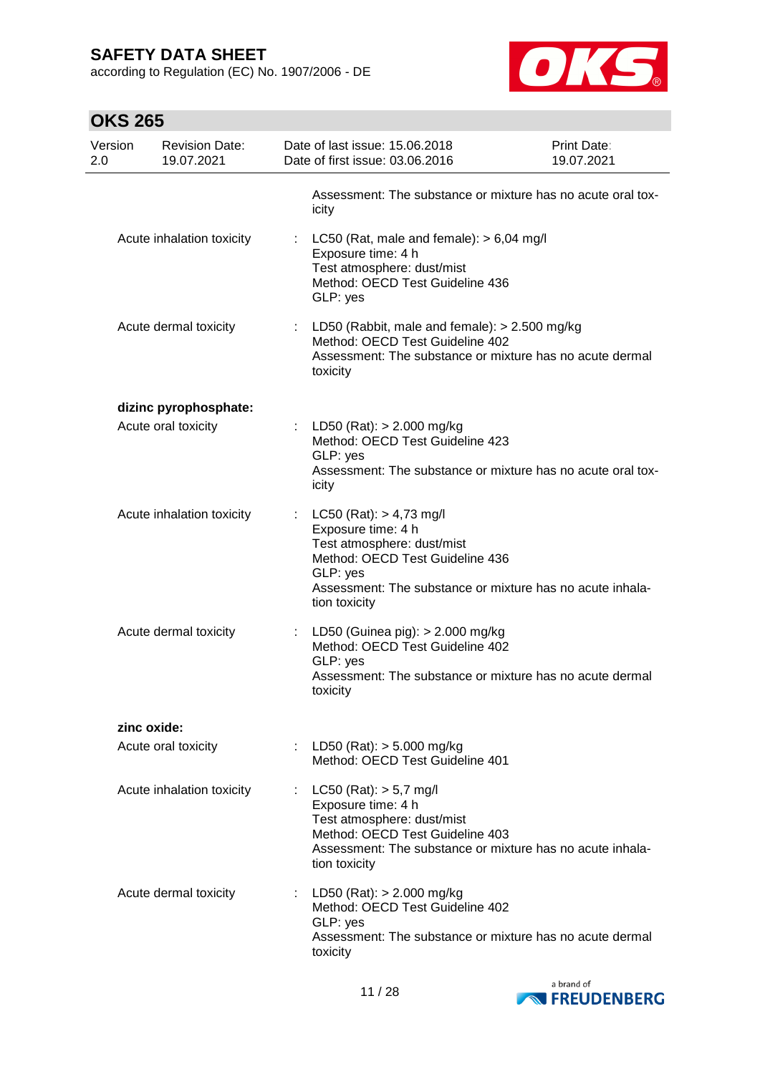according to Regulation (EC) No. 1907/2006 - DE



| <b>OKS 265</b> |
|----------------|
|                |

| Version<br>2.0 | <b>Revision Date:</b><br>19.07.2021 | Date of last issue: 15.06.2018<br>Date of first issue: 03.06.2016                                                                                                                                            | Print Date:<br>19.07.2021 |
|----------------|-------------------------------------|--------------------------------------------------------------------------------------------------------------------------------------------------------------------------------------------------------------|---------------------------|
|                |                                     | Assessment: The substance or mixture has no acute oral tox-<br>icity                                                                                                                                         |                           |
|                | Acute inhalation toxicity           | : LC50 (Rat, male and female): $> 6,04$ mg/l<br>Exposure time: 4 h<br>Test atmosphere: dust/mist<br>Method: OECD Test Guideline 436<br>GLP: yes                                                              |                           |
|                | Acute dermal toxicity               | : LD50 (Rabbit, male and female): $> 2.500$ mg/kg<br>Method: OECD Test Guideline 402<br>Assessment: The substance or mixture has no acute dermal<br>toxicity                                                 |                           |
|                | dizinc pyrophosphate:               |                                                                                                                                                                                                              |                           |
|                | Acute oral toxicity                 | : LD50 (Rat): $> 2.000$ mg/kg<br>Method: OECD Test Guideline 423<br>GLP: yes<br>Assessment: The substance or mixture has no acute oral tox-<br>icity                                                         |                           |
|                | Acute inhalation toxicity           | : $LC50 (Rat): > 4,73 mg/l$<br>Exposure time: 4 h<br>Test atmosphere: dust/mist<br>Method: OECD Test Guideline 436<br>GLP: yes<br>Assessment: The substance or mixture has no acute inhala-<br>tion toxicity |                           |
|                | Acute dermal toxicity               | LD50 (Guinea pig): $> 2.000$ mg/kg<br>Method: OECD Test Guideline 402<br>GLP: yes<br>Assessment: The substance or mixture has no acute dermal<br>toxicity                                                    |                           |
|                | zinc oxide:                         |                                                                                                                                                                                                              |                           |
|                | Acute oral toxicity                 | : LD50 (Rat): $> 5.000$ mg/kg<br>Method: OECD Test Guideline 401                                                                                                                                             |                           |
|                | Acute inhalation toxicity           | : LC50 (Rat): $> 5.7$ mg/l<br>Exposure time: 4 h<br>Test atmosphere: dust/mist<br>Method: OECD Test Guideline 403<br>Assessment: The substance or mixture has no acute inhala-<br>tion toxicity              |                           |
|                | Acute dermal toxicity               | : LD50 (Rat): $> 2.000$ mg/kg<br>Method: OECD Test Guideline 402<br>GLP: yes<br>Assessment: The substance or mixture has no acute dermal<br>toxicity                                                         |                           |

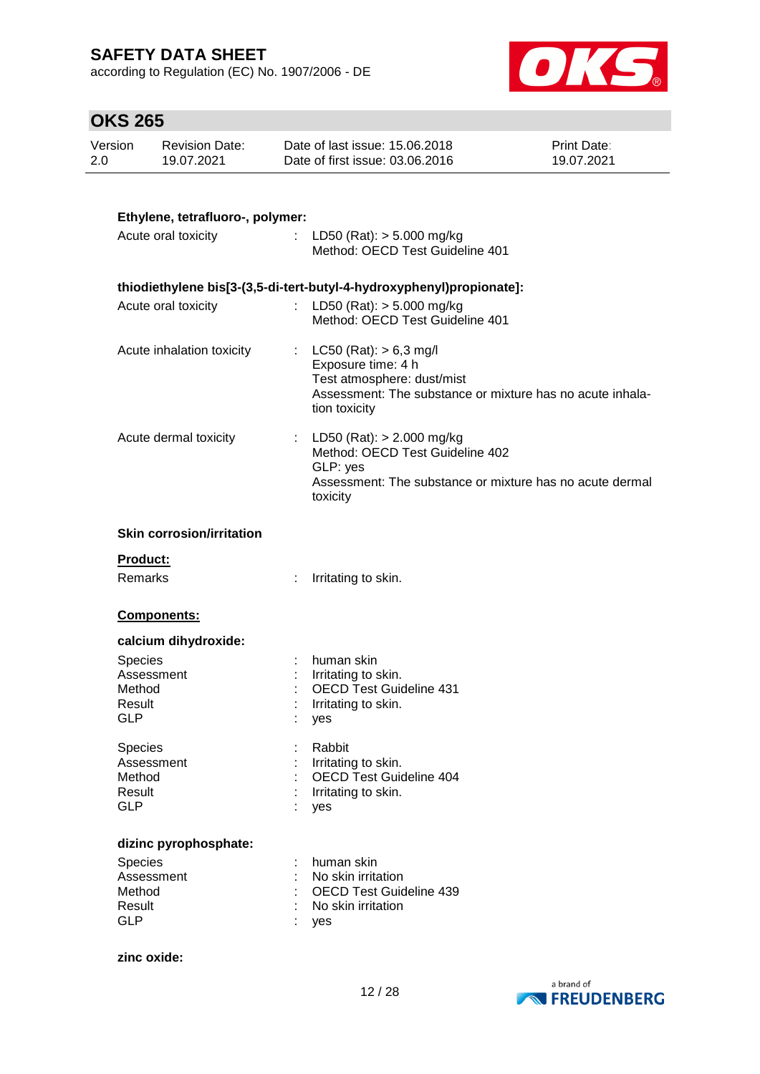according to Regulation (EC) No. 1907/2006 - DE



| Version | <b>Revision Date:</b> | Date of last issue: 15,06,2018  | <b>Print Date:</b> |
|---------|-----------------------|---------------------------------|--------------------|
| 2.0     | 19.07.2021            | Date of first issue: 03.06.2016 | 19.07.2021         |

| Ethylene, tetrafluoro-, polymer:                               |                           |                                                                                                                                                              |
|----------------------------------------------------------------|---------------------------|--------------------------------------------------------------------------------------------------------------------------------------------------------------|
| Acute oral toxicity                                            |                           | : LD50 (Rat): $>$ 5.000 mg/kg<br>Method: OECD Test Guideline 401                                                                                             |
|                                                                |                           | thiodiethylene bis[3-(3,5-di-tert-butyl-4-hydroxyphenyl)propionate]:                                                                                         |
| Acute oral toxicity                                            | $\mathbb{R}^{\mathbb{Z}}$ | LD50 (Rat): $> 5.000$ mg/kg<br>Method: OECD Test Guideline 401                                                                                               |
| Acute inhalation toxicity                                      |                           | $LC50$ (Rat): $> 6.3$ mg/l<br>Exposure time: 4 h<br>Test atmosphere: dust/mist<br>Assessment: The substance or mixture has no acute inhala-<br>tion toxicity |
| Acute dermal toxicity                                          |                           | LD50 (Rat): $> 2.000$ mg/kg<br>Method: OECD Test Guideline 402<br>GLP: yes<br>Assessment: The substance or mixture has no acute dermal<br>toxicity           |
| <b>Skin corrosion/irritation</b>                               |                           |                                                                                                                                                              |
| Product:<br>Remarks                                            |                           | Irritating to skin.                                                                                                                                          |
| Components:                                                    |                           |                                                                                                                                                              |
| calcium dihydroxide:                                           |                           |                                                                                                                                                              |
| Species<br>Assessment<br>Method<br>Result<br><b>GLP</b>        |                           | human skin<br>Irritating to skin.<br><b>OECD Test Guideline 431</b><br>Irritating to skin.<br>yes                                                            |
| <b>Species</b><br>Assessment<br>Method<br>Result<br><b>GLP</b> |                           | Rabbit<br>Irritating to skin.<br>OECD Test Guideline 404<br>Irritating to skin.<br>yes                                                                       |
| dizinc pyrophosphate:                                          |                           |                                                                                                                                                              |
| <b>Species</b><br>Assessment<br>Method<br>Result<br><b>GLP</b> |                           | human skin<br>No skin irritation<br><b>OECD Test Guideline 439</b><br>No skin irritation<br>yes                                                              |
| zinc oxide:                                                    |                           |                                                                                                                                                              |

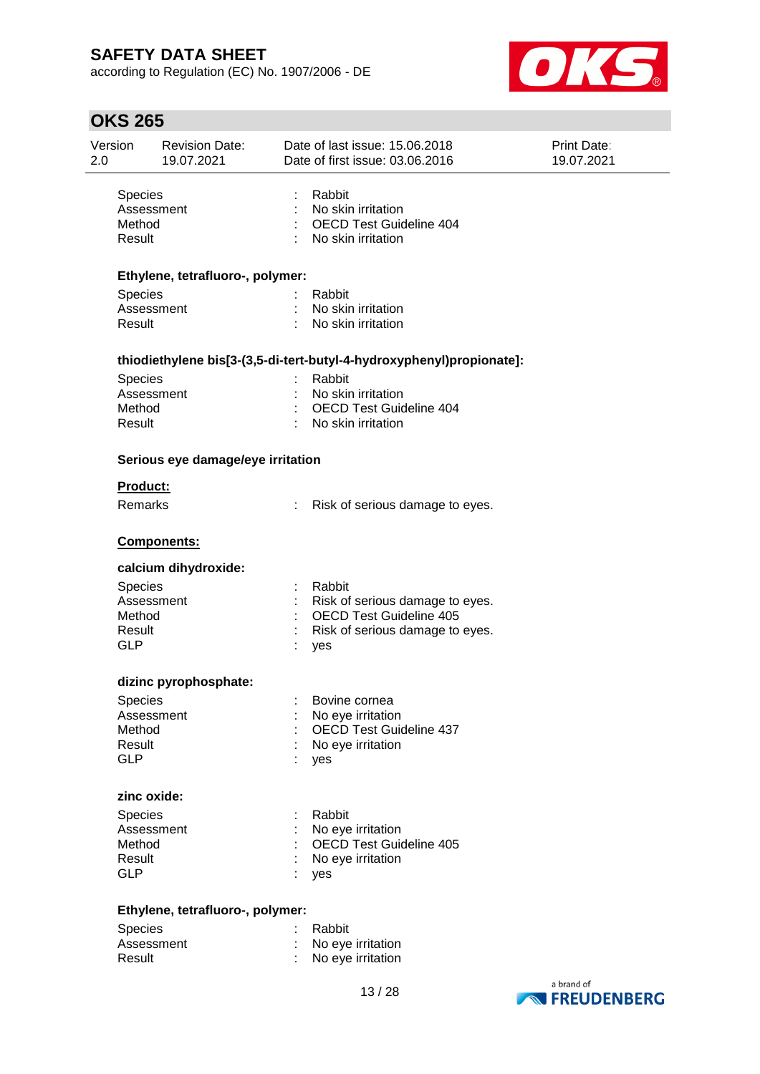according to Regulation (EC) No. 1907/2006 - DE



| Version<br>2.0              | <b>Revision Date:</b><br>19.07.2021 |   | Date of last issue: 15.06.2018<br>Date of first issue: 03.06.2016                        | Print Date:<br>19.07.2021 |
|-----------------------------|-------------------------------------|---|------------------------------------------------------------------------------------------|---------------------------|
| Species<br>Method<br>Result | Assessment                          |   | Rabbit<br>: No skin irritation<br><b>OECD Test Guideline 404</b><br>: No skin irritation |                           |
|                             | Ethylene, tetrafluoro-, polymer:    |   |                                                                                          |                           |
| Species                     |                                     |   | Rabbit                                                                                   |                           |
| Result                      | Assessment                          |   | : No skin irritation<br>: No skin irritation                                             |                           |
|                             |                                     |   | thiodiethylene bis[3-(3,5-di-tert-butyl-4-hydroxyphenyl)propionate]:                     |                           |
| Species                     |                                     | ÷ | Rabbit                                                                                   |                           |
|                             | Assessment                          |   | : No skin irritation                                                                     |                           |
| Method                      |                                     |   | : OECD Test Guideline 404                                                                |                           |
| Result                      |                                     |   | : No skin irritation                                                                     |                           |
|                             | Serious eye damage/eye irritation   |   |                                                                                          |                           |
| <b>Product:</b>             |                                     |   |                                                                                          |                           |
| Remarks                     |                                     |   | Risk of serious damage to eyes.                                                          |                           |
|                             | Components:                         |   |                                                                                          |                           |
|                             | calcium dihydroxide:                |   |                                                                                          |                           |
| Species                     |                                     |   | Rabbit                                                                                   |                           |
|                             | Assessment                          |   | Risk of serious damage to eyes.                                                          |                           |
| Method                      |                                     |   | <b>OECD Test Guideline 405</b>                                                           |                           |
| Result<br><b>GLP</b>        |                                     |   | Risk of serious damage to eyes.<br>yes                                                   |                           |
|                             |                                     |   |                                                                                          |                           |
|                             | dizinc pyrophosphate:               |   |                                                                                          |                           |
| Species                     |                                     |   | Bovine cornea                                                                            |                           |
| Method                      | Assessment                          |   | No eye irritation<br><b>OECD Test Guideline 437</b>                                      |                           |
| Result                      |                                     |   | No eye irritation                                                                        |                           |
| <b>GLP</b>                  |                                     |   | yes                                                                                      |                           |
| zinc oxide:                 |                                     |   |                                                                                          |                           |
| Species                     |                                     |   | Rabbit                                                                                   |                           |
|                             | Assessment                          |   | No eye irritation                                                                        |                           |
| Method                      |                                     |   | OECD Test Guideline 405                                                                  |                           |
| Result                      |                                     |   | No eye irritation                                                                        |                           |
| <b>GLP</b>                  |                                     |   | yes                                                                                      |                           |
|                             | Ethylene, tetrafluoro-, polymer:    |   |                                                                                          |                           |
| Species                     |                                     |   | Rabbit                                                                                   |                           |
|                             | Assessment                          |   | No eye irritation                                                                        |                           |
| Result                      |                                     |   | No eye irritation                                                                        |                           |
|                             |                                     |   |                                                                                          | a hrand of                |

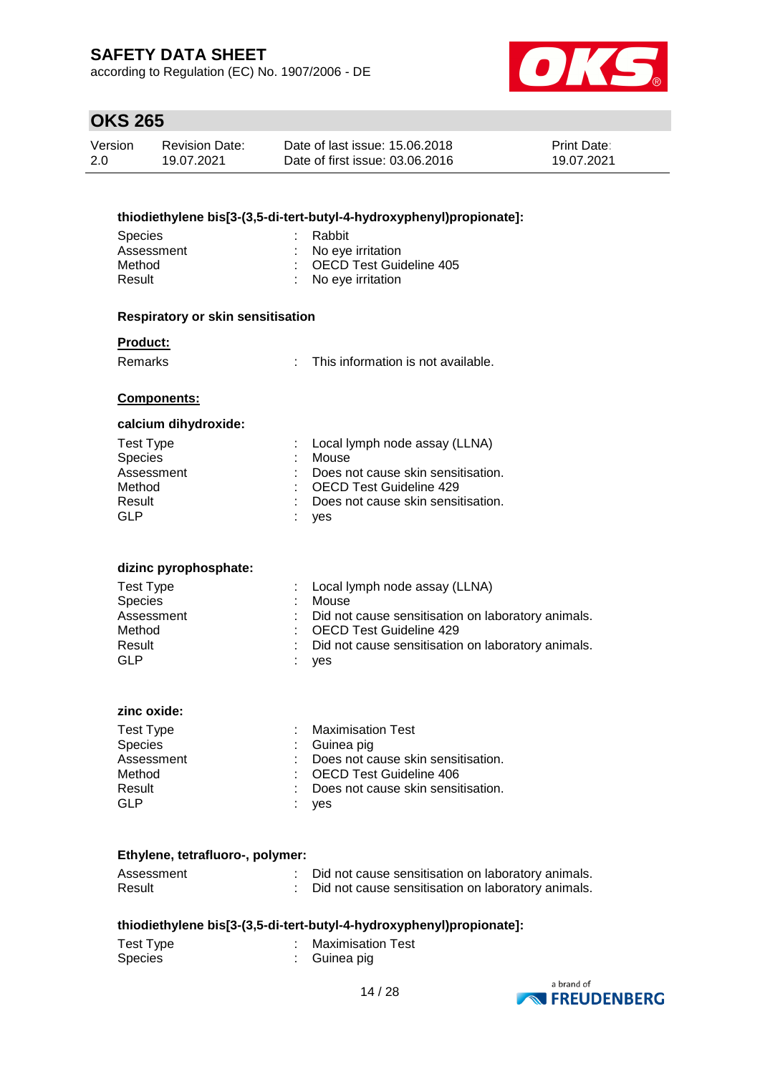according to Regulation (EC) No. 1907/2006 - DE



| Version | Revision Date: | Date of last issue: 15.06.2018  | <b>Print Date:</b> |
|---------|----------------|---------------------------------|--------------------|
| 2.0     | 19.07.2021     | Date of first issue: 03.06.2016 | 19.07.2021         |

|                                                      |    | thiodiethylene bis[3-(3,5-di-tert-butyl-4-hydroxyphenyl)propionate]: |
|------------------------------------------------------|----|----------------------------------------------------------------------|
| <b>Species</b>                                       |    | Rabbit                                                               |
| Assessment                                           |    | No eye irritation                                                    |
| Method                                               |    | <b>OECD Test Guideline 405</b>                                       |
| Result                                               |    | No eye irritation                                                    |
| <b>Respiratory or skin sensitisation</b>             |    |                                                                      |
| <b>Product:</b>                                      |    |                                                                      |
| Remarks                                              | ÷. | This information is not available.                                   |
| Components:                                          |    |                                                                      |
| calcium dihydroxide:                                 |    |                                                                      |
| <b>Test Type</b>                                     |    | Local lymph node assay (LLNA)                                        |
| Species                                              |    | Mouse                                                                |
| Assessment                                           |    | Does not cause skin sensitisation.                                   |
| Method<br>Result                                     |    | <b>OECD Test Guideline 429</b><br>Does not cause skin sensitisation. |
| <b>GLP</b>                                           |    | yes                                                                  |
| dizinc pyrophosphate:<br><b>Test Type</b><br>Species |    | Local lymph node assay (LLNA)<br>Mouse                               |
| Assessment                                           |    | Did not cause sensitisation on laboratory animals.                   |
| Method                                               |    | <b>OECD Test Guideline 429</b>                                       |
| Result<br><b>GLP</b>                                 |    | Did not cause sensitisation on laboratory animals.                   |
|                                                      |    | yes                                                                  |
| zinc oxide:                                          |    |                                                                      |
| <b>Test Type</b>                                     |    | <b>Maximisation Test</b>                                             |
| Species                                              |    | Guinea pig                                                           |
| Assessment                                           |    | Does not cause skin sensitisation.                                   |
| Method                                               |    | <b>OECD Test Guideline 406</b>                                       |
| Result<br><b>GLP</b>                                 |    | Does not cause skin sensitisation.                                   |
|                                                      |    | yes                                                                  |
| Ethylene, tetrafluoro-, polymer:                     |    |                                                                      |
| Assessment                                           |    | Did not cause sensitisation on laboratory animals.                   |
| Result                                               |    | Did not cause sensitisation on laboratory animals.                   |
|                                                      |    | thiodiethylene bis[3-(3,5-di-tert-butyl-4-hydroxyphenyl)propionate]: |

| Test Type | : Maximisation Test |
|-----------|---------------------|
| Species   | : Guinea pig        |

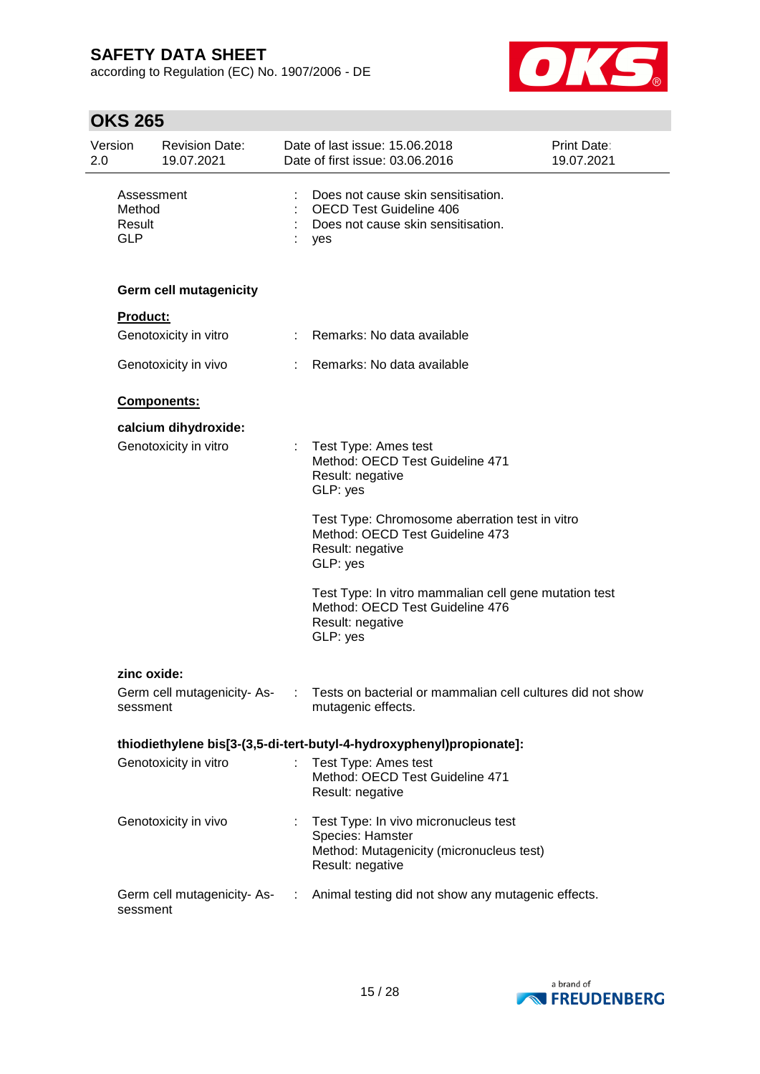according to Regulation (EC) No. 1907/2006 - DE



| Version<br>2.0 |                                              | <b>Revision Date:</b><br>19.07.2021 |               | Date of last issue: 15.06.2018<br>Date of first issue: 03.06.2016                                                        | <b>Print Date:</b><br>19.07.2021 |
|----------------|----------------------------------------------|-------------------------------------|---------------|--------------------------------------------------------------------------------------------------------------------------|----------------------------------|
|                | Assessment<br>Method<br>Result<br><b>GLP</b> |                                     |               | Does not cause skin sensitisation.<br><b>OECD Test Guideline 406</b><br>Does not cause skin sensitisation.<br>yes        |                                  |
|                |                                              | <b>Germ cell mutagenicity</b>       |               |                                                                                                                          |                                  |
|                | Product:                                     |                                     |               |                                                                                                                          |                                  |
|                |                                              | Genotoxicity in vitro               |               | Remarks: No data available                                                                                               |                                  |
|                |                                              | Genotoxicity in vivo                |               | Remarks: No data available                                                                                               |                                  |
|                |                                              | Components:                         |               |                                                                                                                          |                                  |
|                |                                              | calcium dihydroxide:                |               |                                                                                                                          |                                  |
|                |                                              | Genotoxicity in vitro               |               | Test Type: Ames test<br>Method: OECD Test Guideline 471<br>Result: negative<br>GLP: yes                                  |                                  |
|                |                                              |                                     |               | Test Type: Chromosome aberration test in vitro<br>Method: OECD Test Guideline 473<br>Result: negative<br>GLP: yes        |                                  |
|                |                                              |                                     |               | Test Type: In vitro mammalian cell gene mutation test<br>Method: OECD Test Guideline 476<br>Result: negative<br>GLP: yes |                                  |
|                | zinc oxide:                                  |                                     |               |                                                                                                                          |                                  |
|                | sessment                                     | Germ cell mutagenicity-As-          |               | Tests on bacterial or mammalian cell cultures did not show<br>mutagenic effects.                                         |                                  |
|                |                                              |                                     |               | thiodiethylene bis[3-(3,5-di-tert-butyl-4-hydroxyphenyl)propionate]:                                                     |                                  |
|                |                                              | Genotoxicity in vitro               |               | Test Type: Ames test<br>Method: OECD Test Guideline 471<br>Result: negative                                              |                                  |
|                |                                              | Genotoxicity in vivo                |               | Test Type: In vivo micronucleus test<br>Species: Hamster<br>Method: Mutagenicity (micronucleus test)<br>Result: negative |                                  |
|                | sessment                                     | Germ cell mutagenicity-As-          | $\mathcal{L}$ | Animal testing did not show any mutagenic effects.                                                                       |                                  |

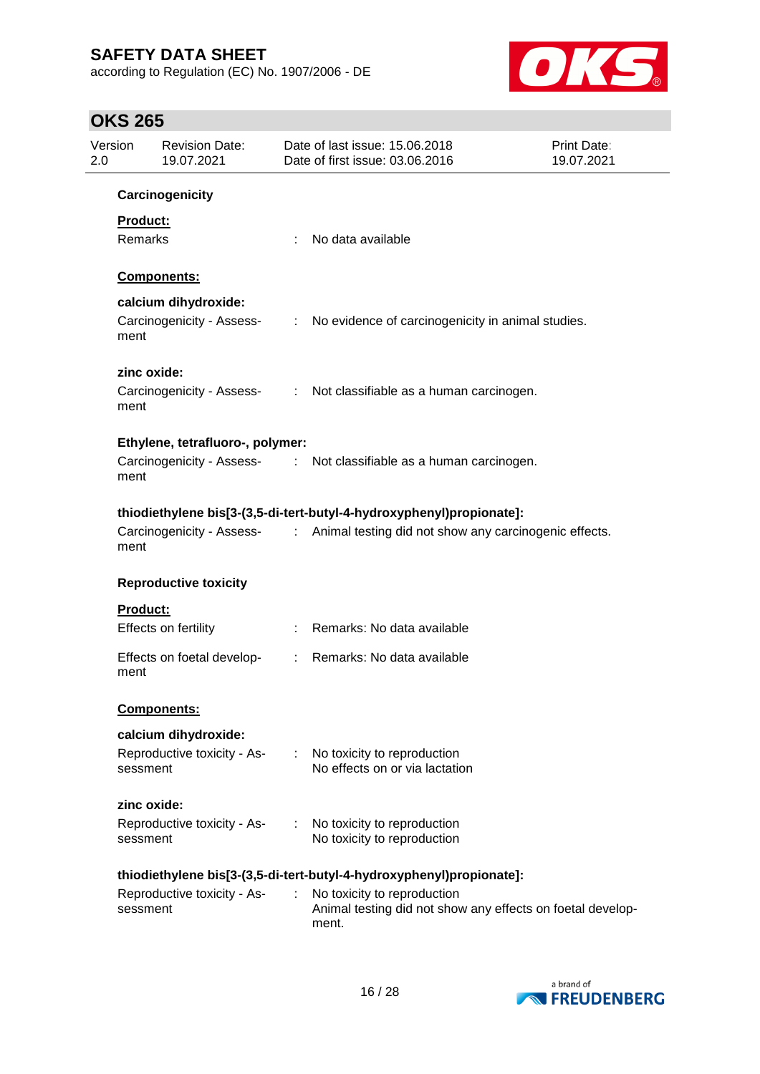according to Regulation (EC) No. 1907/2006 - DE



| Version<br>2.0 |                 | <b>Revision Date:</b><br>19.07.2021 |                           | Date of last issue: 15.06.2018<br>Date of first issue: 03.06.2016                                  | Print Date:<br>19.07.2021 |
|----------------|-----------------|-------------------------------------|---------------------------|----------------------------------------------------------------------------------------------------|---------------------------|
|                |                 | Carcinogenicity                     |                           |                                                                                                    |                           |
|                | Product:        |                                     |                           |                                                                                                    |                           |
|                | Remarks         |                                     |                           | No data available                                                                                  |                           |
|                |                 |                                     |                           |                                                                                                    |                           |
|                |                 | Components:                         |                           |                                                                                                    |                           |
|                |                 | calcium dihydroxide:                |                           |                                                                                                    |                           |
|                | ment            | Carcinogenicity - Assess-           | $\mathbb{Z}^{\mathbb{Z}}$ | No evidence of carcinogenicity in animal studies.                                                  |                           |
|                | zinc oxide:     |                                     |                           |                                                                                                    |                           |
|                | ment            |                                     |                           | Carcinogenicity - Assess- : Not classifiable as a human carcinogen.                                |                           |
|                |                 | Ethylene, tetrafluoro-, polymer:    |                           |                                                                                                    |                           |
|                | ment            |                                     |                           | Carcinogenicity - Assess- : Not classifiable as a human carcinogen.                                |                           |
|                |                 |                                     |                           | thiodiethylene bis[3-(3,5-di-tert-butyl-4-hydroxyphenyl)propionate]:                               |                           |
|                | ment            |                                     |                           | Carcinogenicity - Assess- : Animal testing did not show any carcinogenic effects.                  |                           |
|                |                 | <b>Reproductive toxicity</b>        |                           |                                                                                                    |                           |
|                | <b>Product:</b> |                                     |                           |                                                                                                    |                           |
|                |                 | Effects on fertility                |                           | Remarks: No data available                                                                         |                           |
|                | ment            | Effects on foetal develop-          |                           | Remarks: No data available                                                                         |                           |
|                |                 | Components:                         |                           |                                                                                                    |                           |
|                |                 | calcium dihydroxide:                |                           |                                                                                                    |                           |
|                | sessment        | Reproductive toxicity - As-         | $\mathbb{R}^{\mathbb{Z}}$ | No toxicity to reproduction<br>No effects on or via lactation                                      |                           |
|                | zinc oxide:     |                                     |                           |                                                                                                    |                           |
|                | sessment        | Reproductive toxicity - As-         |                           | No toxicity to reproduction<br>No toxicity to reproduction                                         |                           |
|                |                 |                                     |                           | thiodiethylene bis[3-(3,5-di-tert-butyl-4-hydroxyphenyl)propionate]:                               |                           |
|                | sessment        | Reproductive toxicity - As-         | ÷.                        | No toxicity to reproduction<br>Animal testing did not show any effects on foetal develop-<br>ment. |                           |

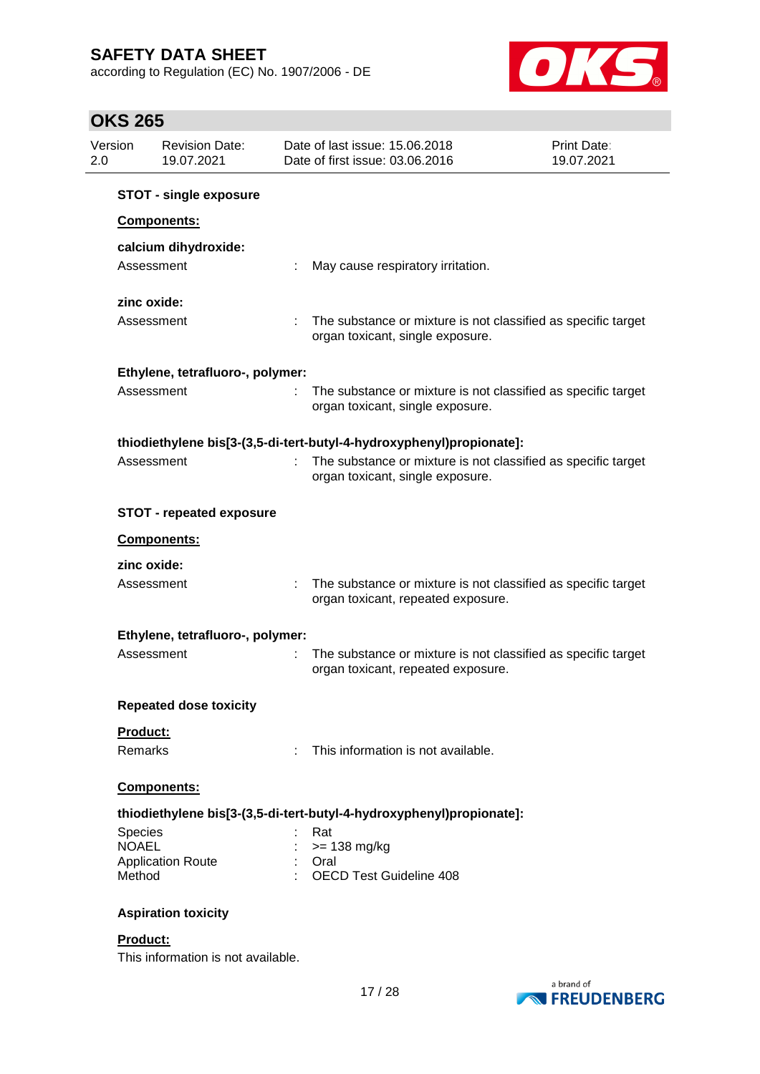according to Regulation (EC) No. 1907/2006 - DE



# **OKS 265**

| Version<br>2.0          | <b>Revision Date:</b><br>19.07.2021 | Date of last issue: 15.06.2018<br>Date of first issue: 03.06.2016    | <b>Print Date:</b><br>19.07.2021                              |
|-------------------------|-------------------------------------|----------------------------------------------------------------------|---------------------------------------------------------------|
|                         | <b>STOT - single exposure</b>       |                                                                      |                                                               |
|                         | <b>Components:</b>                  |                                                                      |                                                               |
|                         | calcium dihydroxide:                |                                                                      |                                                               |
|                         | Assessment                          | May cause respiratory irritation.                                    |                                                               |
|                         | zinc oxide:                         |                                                                      |                                                               |
|                         | Assessment                          | organ toxicant, single exposure.                                     | The substance or mixture is not classified as specific target |
|                         | Ethylene, tetrafluoro-, polymer:    |                                                                      |                                                               |
|                         | Assessment                          | organ toxicant, single exposure.                                     | The substance or mixture is not classified as specific target |
|                         |                                     | thiodiethylene bis[3-(3,5-di-tert-butyl-4-hydroxyphenyl)propionate]: |                                                               |
|                         | Assessment                          | organ toxicant, single exposure.                                     | The substance or mixture is not classified as specific target |
|                         | <b>STOT - repeated exposure</b>     |                                                                      |                                                               |
|                         | Components:                         |                                                                      |                                                               |
|                         | zinc oxide:                         |                                                                      |                                                               |
|                         | Assessment                          | organ toxicant, repeated exposure.                                   | The substance or mixture is not classified as specific target |
|                         | Ethylene, tetrafluoro-, polymer:    |                                                                      |                                                               |
|                         | Assessment                          | organ toxicant, repeated exposure.                                   | The substance or mixture is not classified as specific target |
|                         | <b>Repeated dose toxicity</b>       |                                                                      |                                                               |
| Product:                |                                     |                                                                      |                                                               |
| Remarks                 |                                     | This information is not available.                                   |                                                               |
|                         | Components:                         |                                                                      |                                                               |
|                         |                                     | thiodiethylene bis[3-(3,5-di-tert-butyl-4-hydroxyphenyl)propionate]: |                                                               |
| Species<br><b>NOAEL</b> |                                     | Rat<br>$>= 138$ mg/kg                                                |                                                               |
|                         | <b>Application Route</b>            | Oral                                                                 |                                                               |
| Method                  |                                     | <b>OECD Test Guideline 408</b>                                       |                                                               |
|                         | <b>Aspiration toxicity</b>          |                                                                      |                                                               |
| Product:                |                                     |                                                                      |                                                               |

This information is not available.

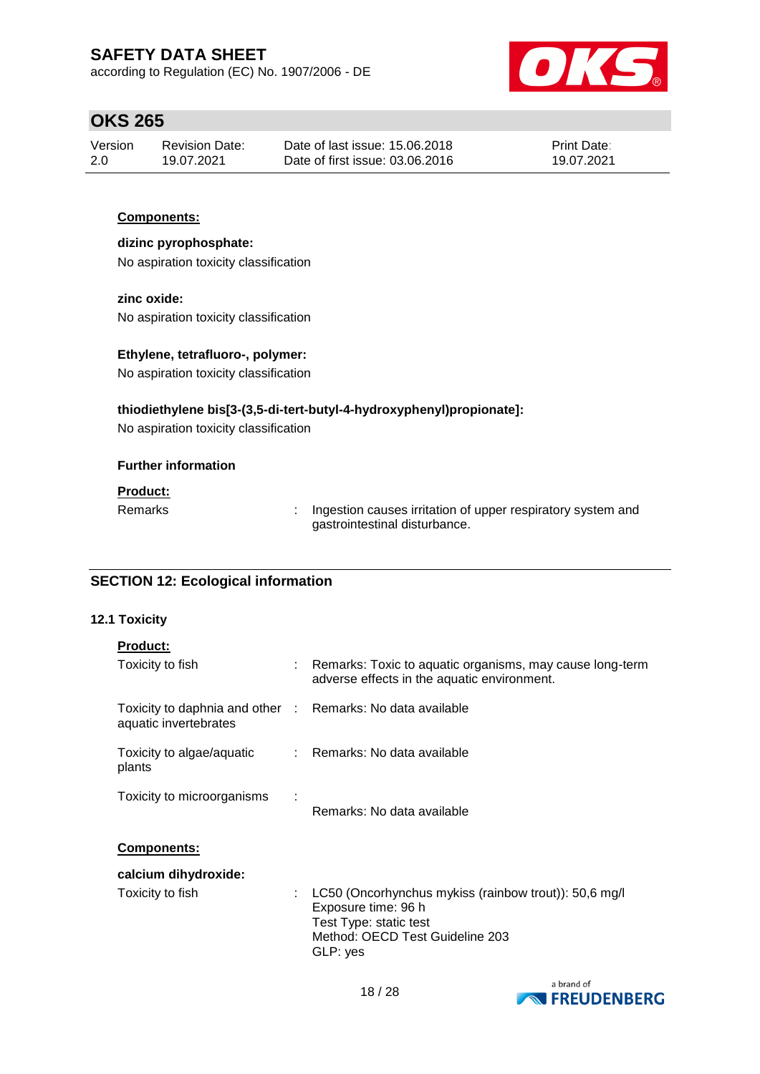according to Regulation (EC) No. 1907/2006 - DE



## **OKS 265**

| Version | Revision Date: | Date of last issue: 15,06,2018  | <b>Print Date:</b> |
|---------|----------------|---------------------------------|--------------------|
| -2.0    | 19.07.2021     | Date of first issue: 03.06.2016 | 19.07.2021         |

### **Components:**

**dizinc pyrophosphate:** No aspiration toxicity classification

**zinc oxide:**

No aspiration toxicity classification

#### **Ethylene, tetrafluoro-, polymer:**

No aspiration toxicity classification

#### **thiodiethylene bis[3-(3,5-di-tert-butyl-4-hydroxyphenyl)propionate]:**

No aspiration toxicity classification

#### **Further information**

### **Product:**

Remarks : Ingestion causes irritation of upper respiratory system and gastrointestinal disturbance.

### **SECTION 12: Ecological information**

#### **12.1 Toxicity**

#### **Product:**

| Toxicity to fish                                                                    | : Remarks: Toxic to aquatic organisms, may cause long-term<br>adverse effects in the aquatic environment.                                             |  |
|-------------------------------------------------------------------------------------|-------------------------------------------------------------------------------------------------------------------------------------------------------|--|
| Toxicity to daphnia and other : Remarks: No data available<br>aquatic invertebrates |                                                                                                                                                       |  |
| Toxicity to algae/aquatic<br>plants                                                 | : Remarks: No data available                                                                                                                          |  |
| Toxicity to microorganisms                                                          | Remarks: No data available                                                                                                                            |  |
| <b>Components:</b>                                                                  |                                                                                                                                                       |  |
| calcium dihydroxide:                                                                |                                                                                                                                                       |  |
| Toxicity to fish                                                                    | LC50 (Oncorhynchus mykiss (rainbow trout)): 50,6 mg/l<br>Exposure time: 96 h<br>Test Type: static test<br>Method: OECD Test Guideline 203<br>GLP: yes |  |

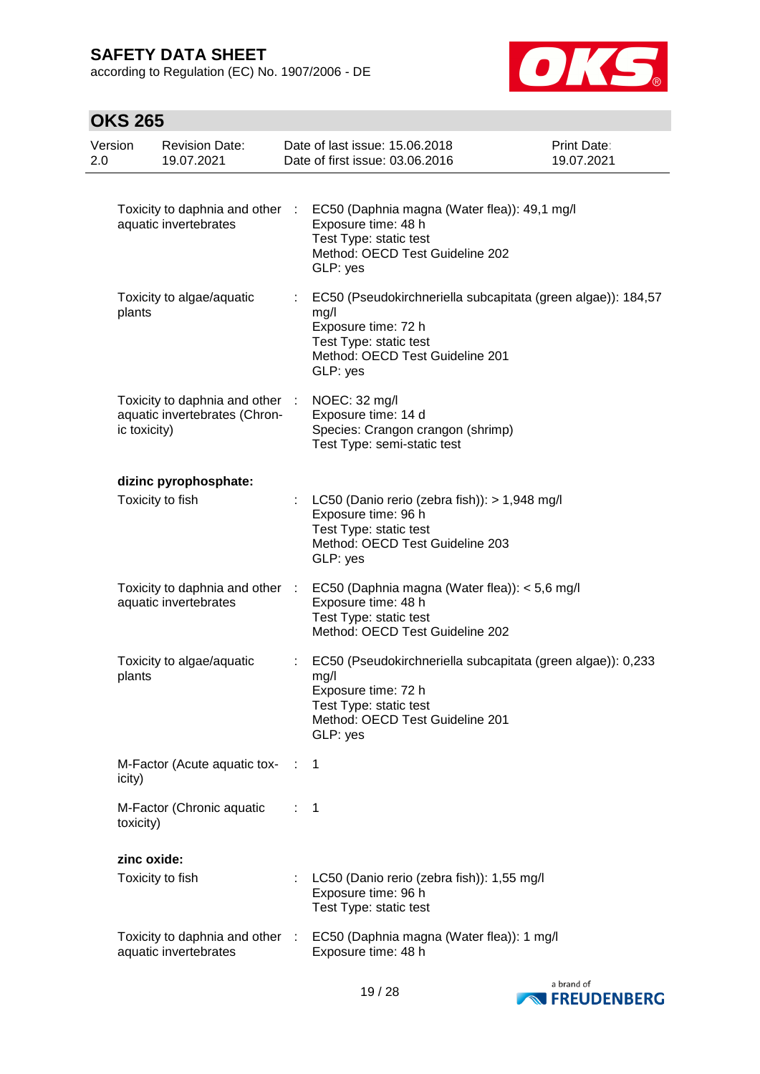according to Regulation (EC) No. 1907/2006 - DE



| Version<br>2.0 |              | <b>Revision Date:</b><br>19.07.2021                              |      | Date of last issue: 15.06.2018<br>Date of first issue: 03.06.2016                                                                                                    | <b>Print Date:</b><br>19.07.2021 |
|----------------|--------------|------------------------------------------------------------------|------|----------------------------------------------------------------------------------------------------------------------------------------------------------------------|----------------------------------|
|                |              | Toxicity to daphnia and other :<br>aquatic invertebrates         |      | EC50 (Daphnia magna (Water flea)): 49,1 mg/l<br>Exposure time: 48 h<br>Test Type: static test<br>Method: OECD Test Guideline 202<br>GLP: yes                         |                                  |
|                | plants       | Toxicity to algae/aquatic                                        | t.   | EC50 (Pseudokirchneriella subcapitata (green algae)): 184,57<br>mg/l<br>Exposure time: 72 h<br>Test Type: static test<br>Method: OECD Test Guideline 201<br>GLP: yes |                                  |
|                | ic toxicity) | Toxicity to daphnia and other :<br>aquatic invertebrates (Chron- |      | NOEC: 32 mg/l<br>Exposure time: 14 d<br>Species: Crangon crangon (shrimp)<br>Test Type: semi-static test                                                             |                                  |
|                |              | dizinc pyrophosphate:<br>Toxicity to fish                        |      | LC50 (Danio rerio (zebra fish)): > 1,948 mg/l<br>Exposure time: 96 h<br>Test Type: static test<br>Method: OECD Test Guideline 203<br>GLP: yes                        |                                  |
|                |              | Toxicity to daphnia and other :<br>aquatic invertebrates         |      | EC50 (Daphnia magna (Water flea)): < 5,6 mg/l<br>Exposure time: 48 h<br>Test Type: static test<br>Method: OECD Test Guideline 202                                    |                                  |
|                | plants       | Toxicity to algae/aquatic                                        |      | EC50 (Pseudokirchneriella subcapitata (green algae)): 0,233<br>mg/l<br>Exposure time: 72 h<br>Test Type: static test<br>Method: OECD Test Guideline 201<br>GLP: yes  |                                  |
|                | icity)       | M-Factor (Acute aquatic tox-                                     | - 11 | 1                                                                                                                                                                    |                                  |
|                | toxicity)    | M-Factor (Chronic aquatic                                        | ÷.   | -1                                                                                                                                                                   |                                  |
|                | zinc oxide:  |                                                                  |      |                                                                                                                                                                      |                                  |
|                |              | Toxicity to fish                                                 |      | LC50 (Danio rerio (zebra fish)): 1,55 mg/l<br>Exposure time: 96 h<br>Test Type: static test                                                                          |                                  |
|                |              | Toxicity to daphnia and other :<br>aquatic invertebrates         |      | EC50 (Daphnia magna (Water flea)): 1 mg/l<br>Exposure time: 48 h                                                                                                     |                                  |

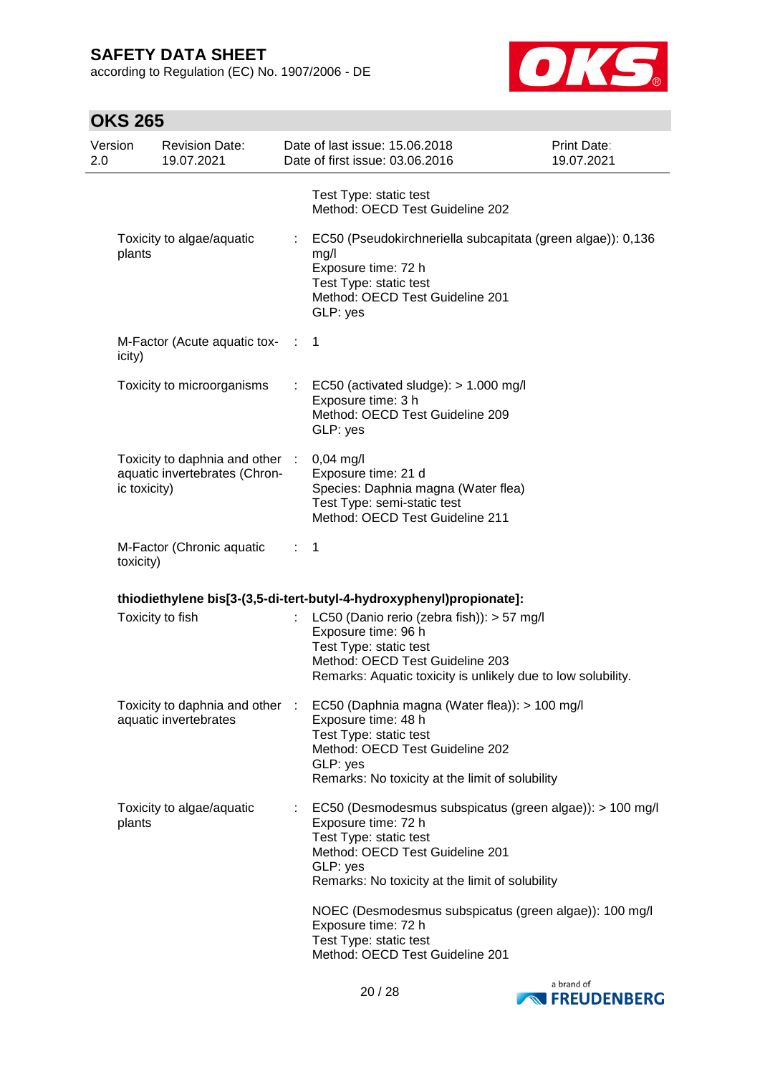according to Regulation (EC) No. 1907/2006 - DE



| <b>OKS 265</b>                                                                   |                             |                                                                                                                                                                                                                                                                                                                                                           |                                  |  |  |
|----------------------------------------------------------------------------------|-----------------------------|-----------------------------------------------------------------------------------------------------------------------------------------------------------------------------------------------------------------------------------------------------------------------------------------------------------------------------------------------------------|----------------------------------|--|--|
| Version<br><b>Revision Date:</b><br>19.07.2021<br>2.0                            |                             | Date of last issue: 15.06.2018<br>Date of first issue: 03.06.2016                                                                                                                                                                                                                                                                                         | <b>Print Date:</b><br>19.07.2021 |  |  |
|                                                                                  |                             | Test Type: static test<br>Method: OECD Test Guideline 202                                                                                                                                                                                                                                                                                                 |                                  |  |  |
| Toxicity to algae/aquatic<br>plants                                              |                             | EC50 (Pseudokirchneriella subcapitata (green algae)): 0,136<br>mg/l<br>Exposure time: 72 h<br>Test Type: static test<br>Method: OECD Test Guideline 201<br>GLP: yes                                                                                                                                                                                       |                                  |  |  |
| M-Factor (Acute aquatic tox-<br>icity)                                           | -17                         | 1                                                                                                                                                                                                                                                                                                                                                         |                                  |  |  |
| Toxicity to microorganisms                                                       | t.                          | EC50 (activated sludge): $> 1.000$ mg/l<br>Exposure time: 3 h<br>Method: OECD Test Guideline 209<br>GLP: yes                                                                                                                                                                                                                                              |                                  |  |  |
| Toxicity to daphnia and other :<br>aquatic invertebrates (Chron-<br>ic toxicity) |                             | $0,04$ mg/l<br>Exposure time: 21 d<br>Species: Daphnia magna (Water flea)<br>Test Type: semi-static test<br>Method: OECD Test Guideline 211                                                                                                                                                                                                               |                                  |  |  |
| M-Factor (Chronic aquatic<br>toxicity)                                           | $\mathcal{L}^{\mathcal{L}}$ | 1                                                                                                                                                                                                                                                                                                                                                         |                                  |  |  |
|                                                                                  |                             | thiodiethylene bis[3-(3,5-di-tert-butyl-4-hydroxyphenyl)propionate]:                                                                                                                                                                                                                                                                                      |                                  |  |  |
| Toxicity to fish                                                                 | ÷                           | LC50 (Danio rerio (zebra fish)): > 57 mg/l<br>Exposure time: 96 h<br>Test Type: static test<br>Method: OECD Test Guideline 203<br>Remarks: Aquatic toxicity is unlikely due to low solubility.                                                                                                                                                            |                                  |  |  |
| Toxicity to daphnia and other :<br>aquatic invertebrates                         |                             | EC50 (Daphnia magna (Water flea)): > 100 mg/l<br>Exposure time: 48 h<br>Test Type: static test<br>Method: OECD Test Guideline 202<br>GLP: yes<br>Remarks: No toxicity at the limit of solubility                                                                                                                                                          |                                  |  |  |
| Toxicity to algae/aquatic<br>plants                                              | ÷.                          | EC50 (Desmodesmus subspicatus (green algae)): > 100 mg/l<br>Exposure time: 72 h<br>Test Type: static test<br>Method: OECD Test Guideline 201<br>GLP: yes<br>Remarks: No toxicity at the limit of solubility<br>NOEC (Desmodesmus subspicatus (green algae)): 100 mg/l<br>Exposure time: 72 h<br>Test Type: static test<br>Method: OECD Test Guideline 201 |                                  |  |  |

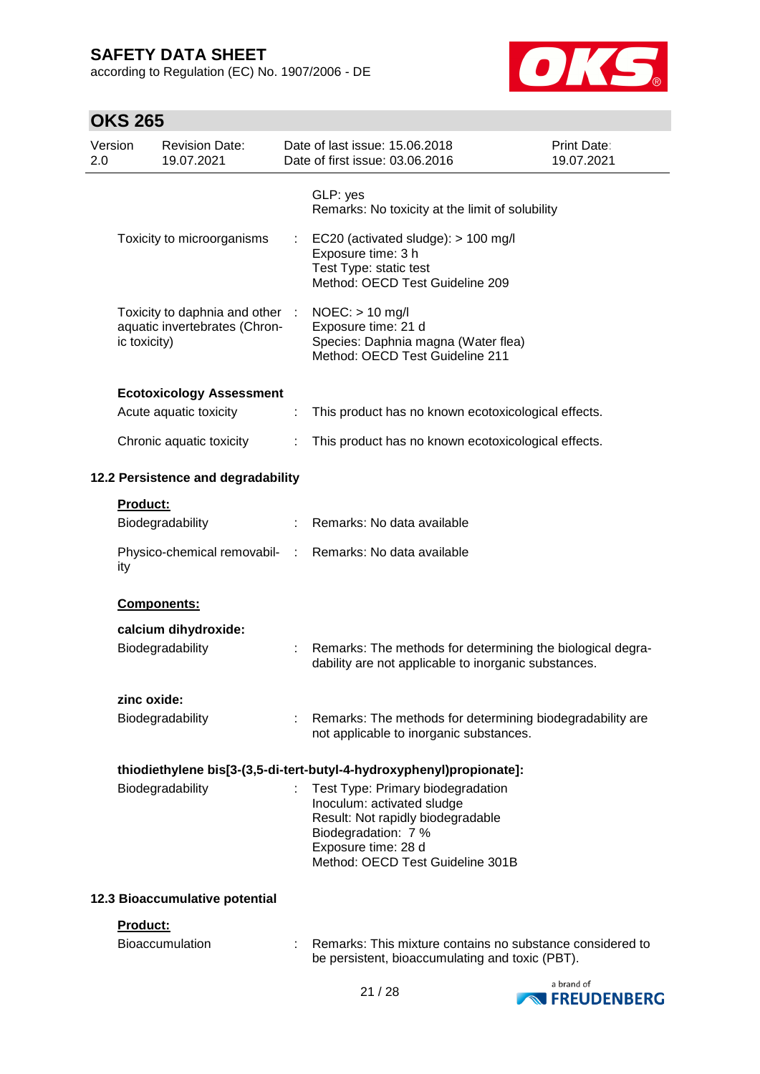according to Regulation (EC) No. 1907/2006 - DE



| Version<br>2.0 |              | <b>Revision Date:</b><br>19.07.2021                            |            | Date of last issue: 15.06.2018<br>Date of first issue: 03.06.2016                                                                                                                      | <b>Print Date:</b><br>19.07.2021 |
|----------------|--------------|----------------------------------------------------------------|------------|----------------------------------------------------------------------------------------------------------------------------------------------------------------------------------------|----------------------------------|
|                |              |                                                                |            | GLP: yes<br>Remarks: No toxicity at the limit of solubility                                                                                                                            |                                  |
|                |              | Toxicity to microorganisms                                     |            | EC20 (activated sludge): > 100 mg/l<br>Exposure time: 3 h<br>Test Type: static test<br>Method: OECD Test Guideline 209                                                                 |                                  |
|                | ic toxicity) | Toxicity to daphnia and other<br>aquatic invertebrates (Chron- | $\sim 100$ | $NOEC:$ > 10 mg/l<br>Exposure time: 21 d<br>Species: Daphnia magna (Water flea)<br>Method: OECD Test Guideline 211                                                                     |                                  |
|                |              | <b>Ecotoxicology Assessment</b>                                |            |                                                                                                                                                                                        |                                  |
|                |              | Acute aquatic toxicity                                         |            | This product has no known ecotoxicological effects.                                                                                                                                    |                                  |
|                |              | Chronic aquatic toxicity                                       |            | This product has no known ecotoxicological effects.                                                                                                                                    |                                  |
|                |              | 12.2 Persistence and degradability                             |            |                                                                                                                                                                                        |                                  |
|                | Product:     |                                                                |            |                                                                                                                                                                                        |                                  |
|                |              | Biodegradability                                               |            | Remarks: No data available                                                                                                                                                             |                                  |
|                | ity          | Physico-chemical removabil-                                    | ÷.         | Remarks: No data available                                                                                                                                                             |                                  |
|                |              | Components:                                                    |            |                                                                                                                                                                                        |                                  |
|                |              | calcium dihydroxide:                                           |            |                                                                                                                                                                                        |                                  |
|                |              | Biodegradability                                               |            | Remarks: The methods for determining the biological degra-<br>dability are not applicable to inorganic substances.                                                                     |                                  |
|                | zinc oxide:  |                                                                |            |                                                                                                                                                                                        |                                  |
|                |              | Biodegradability                                               |            | : Remarks: The methods for determining biodegradability are<br>not applicable to inorganic substances.                                                                                 |                                  |
|                |              |                                                                |            | thiodiethylene bis[3-(3,5-di-tert-butyl-4-hydroxyphenyl)propionate]:                                                                                                                   |                                  |
|                |              | Biodegradability                                               |            | Test Type: Primary biodegradation<br>Inoculum: activated sludge<br>Result: Not rapidly biodegradable<br>Biodegradation: 7 %<br>Exposure time: 28 d<br>Method: OECD Test Guideline 301B |                                  |
|                |              | 12.3 Bioaccumulative potential                                 |            |                                                                                                                                                                                        |                                  |
|                | Product:     |                                                                |            |                                                                                                                                                                                        |                                  |
|                |              | Bioaccumulation                                                |            | Remarks: This mixture contains no substance considered to<br>be persistent, bioaccumulating and toxic (PBT).                                                                           |                                  |

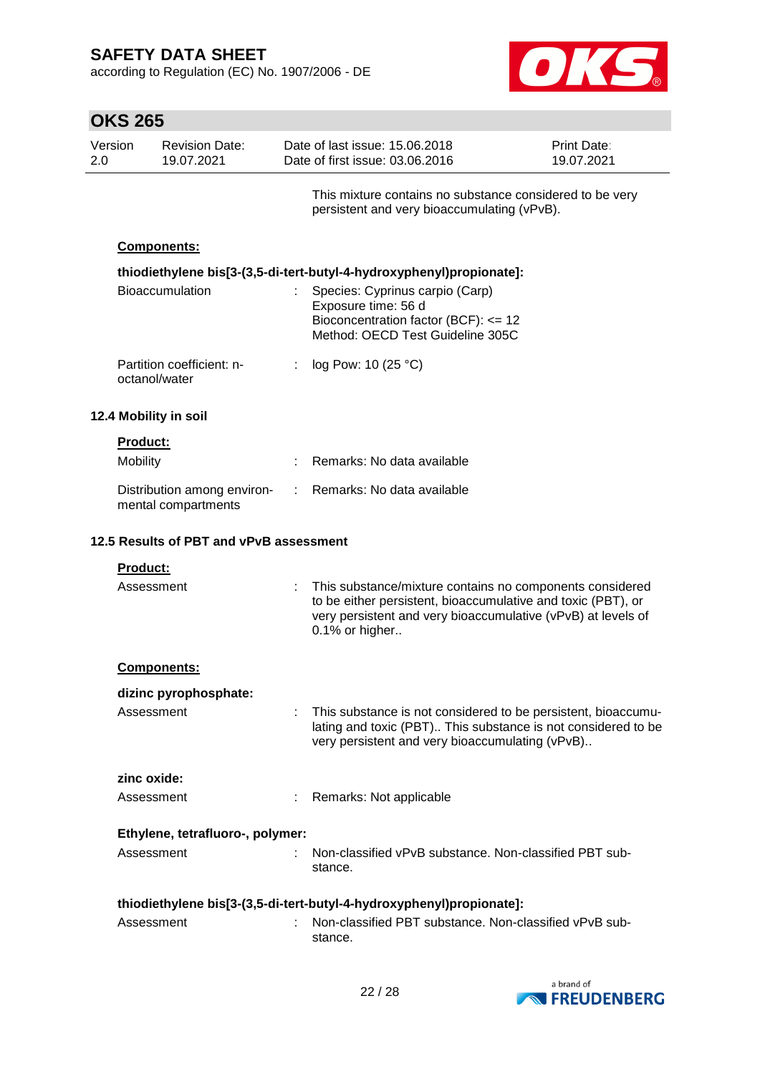according to Regulation (EC) No. 1907/2006 - DE



| <b>OKS 265</b> |                 |                                                    |    |                                                                                                                                                                                                            |                           |
|----------------|-----------------|----------------------------------------------------|----|------------------------------------------------------------------------------------------------------------------------------------------------------------------------------------------------------------|---------------------------|
| Version<br>2.0 |                 | <b>Revision Date:</b><br>19.07.2021                |    | Date of last issue: 15.06.2018<br>Date of first issue: 03.06.2016                                                                                                                                          | Print Date:<br>19.07.2021 |
|                |                 |                                                    |    | This mixture contains no substance considered to be very<br>persistent and very bioaccumulating (vPvB).                                                                                                    |                           |
|                |                 | Components:                                        |    |                                                                                                                                                                                                            |                           |
|                |                 | Bioaccumulation                                    |    | thiodiethylene bis[3-(3,5-di-tert-butyl-4-hydroxyphenyl)propionate]:<br>Species: Cyprinus carpio (Carp)<br>Exposure time: 56 d<br>Bioconcentration factor (BCF): <= 12<br>Method: OECD Test Guideline 305C |                           |
|                |                 | Partition coefficient: n-<br>octanol/water         |    | log Pow: 10 (25 °C)                                                                                                                                                                                        |                           |
|                |                 | 12.4 Mobility in soil                              |    |                                                                                                                                                                                                            |                           |
|                | <b>Product:</b> |                                                    |    |                                                                                                                                                                                                            |                           |
|                | Mobility        |                                                    |    | Remarks: No data available                                                                                                                                                                                 |                           |
|                |                 | Distribution among environ-<br>mental compartments | ÷. | Remarks: No data available                                                                                                                                                                                 |                           |
|                |                 | 12.5 Results of PBT and vPvB assessment            |    |                                                                                                                                                                                                            |                           |
|                | <b>Product:</b> |                                                    |    |                                                                                                                                                                                                            |                           |
|                | Assessment      |                                                    |    | This substance/mixture contains no components considered<br>to be either persistent, bioaccumulative and toxic (PBT), or<br>very persistent and very bioaccumulative (vPvB) at levels of<br>0.1% or higher |                           |
|                |                 | <b>Components:</b>                                 |    |                                                                                                                                                                                                            |                           |
|                |                 | dizinc pyrophosphate:                              |    |                                                                                                                                                                                                            |                           |
|                | Assessment      |                                                    |    | This substance is not considered to be persistent, bioaccumu-<br>lating and toxic (PBT) This substance is not considered to be<br>very persistent and very bioaccumulating (vPvB)                          |                           |
|                | zinc oxide:     |                                                    |    |                                                                                                                                                                                                            |                           |
|                | Assessment      |                                                    |    | Remarks: Not applicable                                                                                                                                                                                    |                           |
|                |                 | Ethylene, tetrafluoro-, polymer:                   |    |                                                                                                                                                                                                            |                           |
|                | Assessment      |                                                    |    | Non-classified vPvB substance. Non-classified PBT sub-<br>stance.                                                                                                                                          |                           |
|                |                 |                                                    |    | thiodiethylene bis[3-(3,5-di-tert-butyl-4-hydroxyphenyl)propionate]:                                                                                                                                       |                           |
|                | Assessment      |                                                    |    | Non-classified PBT substance. Non-classified vPvB sub-<br>stance.                                                                                                                                          |                           |

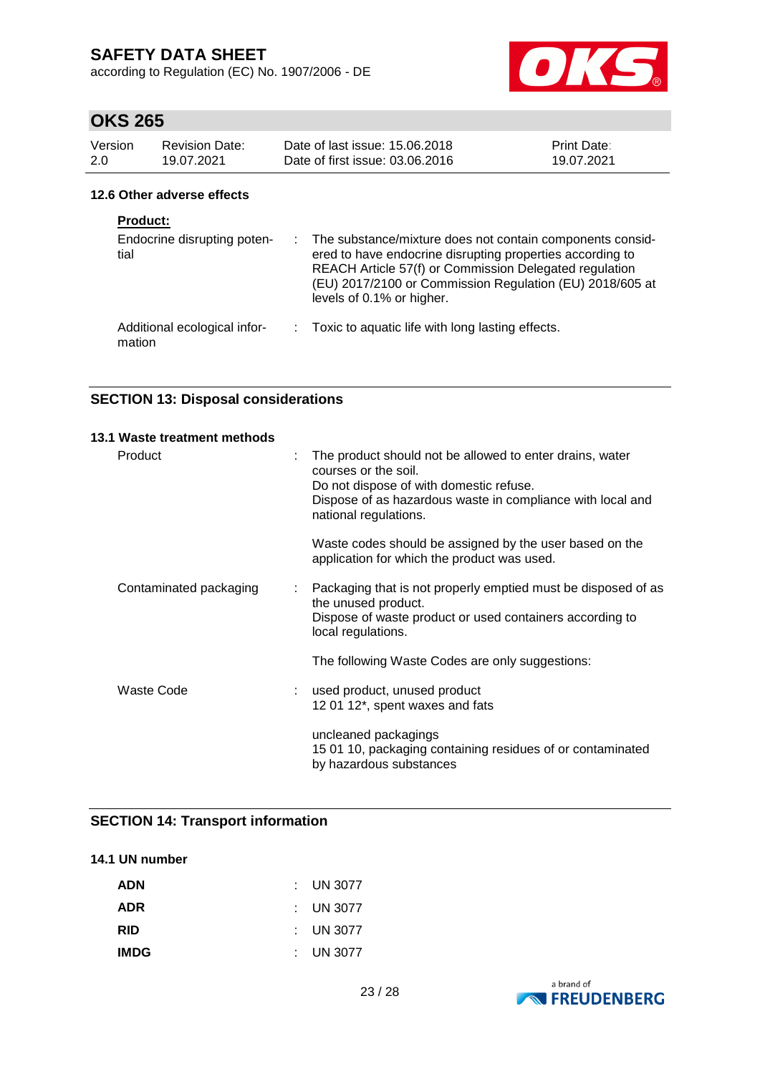according to Regulation (EC) No. 1907/2006 - DE



# **OKS 265**

| Version<br>2.0 | <b>Revision Date:</b><br>19.07.2021                    | Date of last issue: 15.06.2018<br>Date of first issue: 03.06.2016                                                                                                                                                                                                           | Print Date:<br>19.07.2021 |
|----------------|--------------------------------------------------------|-----------------------------------------------------------------------------------------------------------------------------------------------------------------------------------------------------------------------------------------------------------------------------|---------------------------|
|                | 12.6 Other adverse effects                             |                                                                                                                                                                                                                                                                             |                           |
|                | <b>Product:</b><br>Endocrine disrupting poten-<br>tial | : The substance/mixture does not contain components consid-<br>ered to have endocrine disrupting properties according to<br>REACH Article 57(f) or Commission Delegated regulation<br>(EU) 2017/2100 or Commission Regulation (EU) 2018/605 at<br>levels of 0.1% or higher. |                           |
|                | Additional ecological infor-                           | Toxic to aquatic life with long lasting effects.                                                                                                                                                                                                                            |                           |

mation

### **SECTION 13: Disposal considerations**

| 13.1 Waste treatment methods |   |                                                                                                                                                                                                                    |
|------------------------------|---|--------------------------------------------------------------------------------------------------------------------------------------------------------------------------------------------------------------------|
| Product                      | t | The product should not be allowed to enter drains, water<br>courses or the soil.<br>Do not dispose of with domestic refuse.<br>Dispose of as hazardous waste in compliance with local and<br>national regulations. |
|                              |   | Waste codes should be assigned by the user based on the<br>application for which the product was used.                                                                                                             |
| Contaminated packaging       | ÷ | Packaging that is not properly emptied must be disposed of as<br>the unused product.<br>Dispose of waste product or used containers according to<br>local regulations.                                             |
|                              |   | The following Waste Codes are only suggestions:                                                                                                                                                                    |
| Waste Code                   |   | used product, unused product<br>12 01 12*, spent waxes and fats                                                                                                                                                    |
|                              |   | uncleaned packagings<br>15 01 10, packaging containing residues of or contaminated<br>by hazardous substances                                                                                                      |

### **SECTION 14: Transport information**

### **14.1 UN number**

| <b>ADN</b>  | $\therefore$ UN 3077 |
|-------------|----------------------|
| <b>ADR</b>  | : UN 3077            |
| <b>RID</b>  | : UN 3077            |
| <b>IMDG</b> | : UN 3077            |

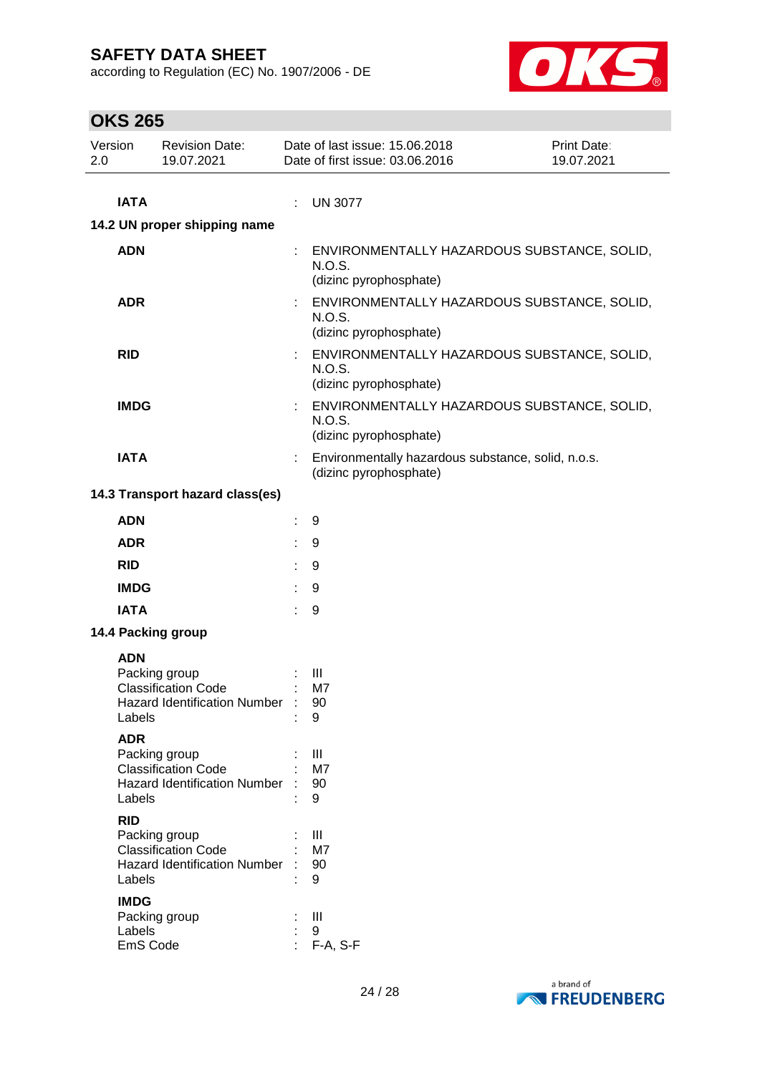according to Regulation (EC) No. 1907/2006 - DE



| Version<br>2.0 | ,,,,,,,,,          | <b>Revision Date:</b><br>19.07.2021                               |   | Date of last issue: 15.06.2018<br>Date of first issue: 03.06.2016               | Print Date:<br>19.07.2021                   |
|----------------|--------------------|-------------------------------------------------------------------|---|---------------------------------------------------------------------------------|---------------------------------------------|
|                | <b>IATA</b>        |                                                                   | ÷ | <b>UN 3077</b>                                                                  |                                             |
|                |                    | 14.2 UN proper shipping name                                      |   |                                                                                 |                                             |
|                | <b>ADN</b>         |                                                                   | ÷ | N.O.S.<br>(dizinc pyrophosphate)                                                | ENVIRONMENTALLY HAZARDOUS SUBSTANCE, SOLID, |
|                | <b>ADR</b>         |                                                                   |   | N.O.S.<br>(dizinc pyrophosphate)                                                | ENVIRONMENTALLY HAZARDOUS SUBSTANCE, SOLID, |
|                | <b>RID</b>         |                                                                   | ÷ | ENVIRONMENTALLY HAZARDOUS SUBSTANCE, SOLID,<br>N.O.S.<br>(dizinc pyrophosphate) |                                             |
|                | <b>IMDG</b>        |                                                                   |   | N.O.S.<br>(dizinc pyrophosphate)                                                | ENVIRONMENTALLY HAZARDOUS SUBSTANCE, SOLID, |
|                | <b>IATA</b>        |                                                                   |   | Environmentally hazardous substance, solid, n.o.s.<br>(dizinc pyrophosphate)    |                                             |
|                |                    | 14.3 Transport hazard class(es)                                   |   |                                                                                 |                                             |
|                | <b>ADN</b>         |                                                                   |   | 9                                                                               |                                             |
|                | <b>ADR</b>         |                                                                   |   | 9                                                                               |                                             |
|                | <b>RID</b>         |                                                                   |   | 9                                                                               |                                             |
|                | <b>IMDG</b>        |                                                                   |   | 9                                                                               |                                             |
|                | <b>IATA</b>        |                                                                   |   | 9                                                                               |                                             |
|                |                    | 14.4 Packing group                                                |   |                                                                                 |                                             |
|                | <b>ADN</b>         |                                                                   |   |                                                                                 |                                             |
|                |                    | Packing group                                                     |   | Ш                                                                               |                                             |
|                |                    | <b>Classification Code</b><br><b>Hazard Identification Number</b> |   | M7<br>90                                                                        |                                             |
|                | Labels             |                                                                   |   | 9                                                                               |                                             |
|                | <b>ADR</b>         |                                                                   |   |                                                                                 |                                             |
|                |                    | Packing group<br><b>Classification Code</b>                       |   | Ш<br>M7                                                                         |                                             |
|                |                    | <b>Hazard Identification Number</b>                               |   | 90                                                                              |                                             |
|                | Labels             |                                                                   |   | 9                                                                               |                                             |
|                | <b>RID</b>         | Packing group                                                     |   | Ш                                                                               |                                             |
|                |                    | <b>Classification Code</b>                                        |   | M7                                                                              |                                             |
|                | Labels             | <b>Hazard Identification Number</b>                               |   | 90<br>9                                                                         |                                             |
|                | <b>IMDG</b>        |                                                                   |   |                                                                                 |                                             |
|                |                    | Packing group                                                     |   | Ш                                                                               |                                             |
|                | Labels<br>EmS Code |                                                                   |   | 9<br>F-A, S-F                                                                   |                                             |
|                |                    |                                                                   |   |                                                                                 |                                             |

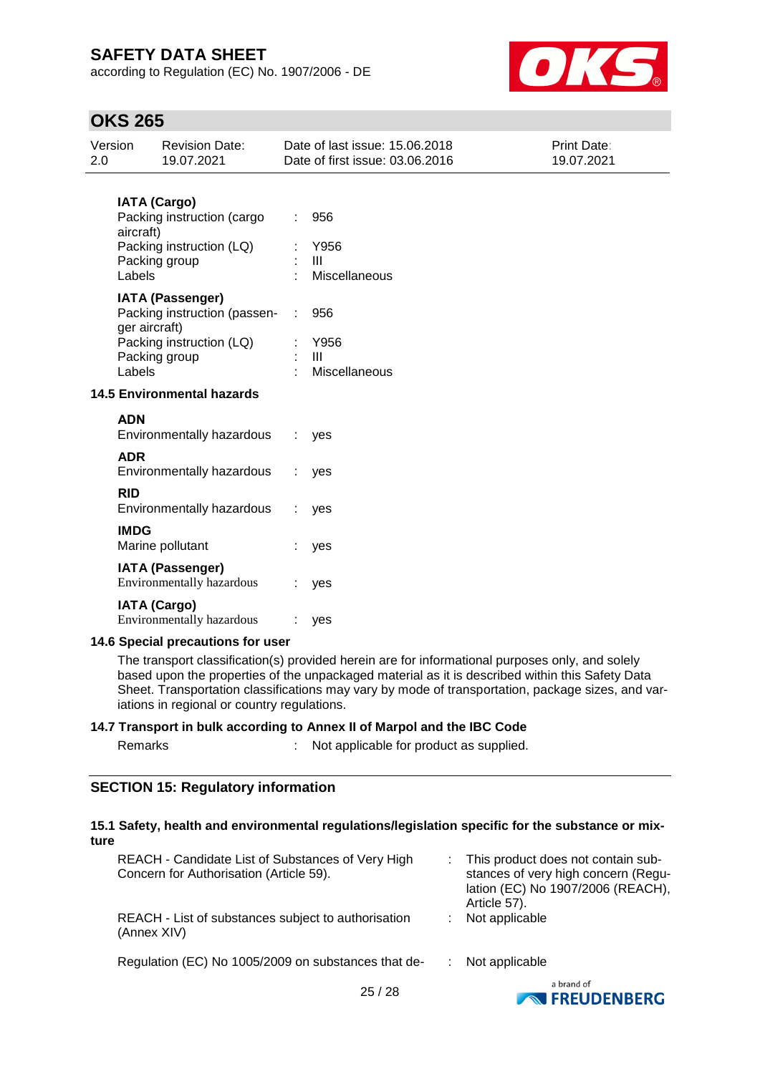according to Regulation (EC) No. 1907/2006 - DE



## **OKS 265**

| Version<br>2.0                    | <b>Revision Date:</b><br>19.07.2021                                                                                             | Date of last issue: 15.06.2018<br>Date of first issue: 03.06.2016 | <b>Print Date:</b><br>19.07.2021 |  |  |  |
|-----------------------------------|---------------------------------------------------------------------------------------------------------------------------------|-------------------------------------------------------------------|----------------------------------|--|--|--|
|                                   | <b>IATA (Cargo)</b><br>Packing instruction (cargo<br>aircraft)<br>Packing instruction (LQ)<br>Packing group<br>Labels           | 956<br>Y956<br>$\mathbf{III}$<br>Miscellaneous                    |                                  |  |  |  |
|                                   | <b>IATA (Passenger)</b><br>Packing instruction (passen-<br>ger aircraft)<br>Packing instruction (LQ)<br>Packing group<br>Labels | 956<br>Y956<br>III<br>Miscellaneous                               |                                  |  |  |  |
| <b>14.5 Environmental hazards</b> |                                                                                                                                 |                                                                   |                                  |  |  |  |
|                                   | <b>ADN</b><br>Environmentally hazardous<br><b>ADR</b>                                                                           | yes                                                               |                                  |  |  |  |
|                                   | Environmentally hazardous<br><b>RID</b><br>Environmentally hazardous                                                            | yes<br>yes                                                        |                                  |  |  |  |
|                                   | <b>IMDG</b><br>Marine pollutant                                                                                                 | yes                                                               |                                  |  |  |  |
|                                   | <b>IATA (Passenger)</b><br>Environmentally hazardous                                                                            | yes                                                               |                                  |  |  |  |
|                                   | <b>IATA (Cargo)</b><br><b>Environmentally hazardous</b>                                                                         | yes                                                               |                                  |  |  |  |
|                                   | 14.6 Special precautions for user                                                                                               |                                                                   |                                  |  |  |  |
|                                   | The transport classification(s) provided herein are for informational purposes only, and solely                                 |                                                                   |                                  |  |  |  |

based upon the properties of the unpackaged material as it is described within this Safety Data Sheet. Transportation classifications may vary by mode of transportation, package sizes, and variations in regional or country regulations.

### **14.7 Transport in bulk according to Annex II of Marpol and the IBC Code**

| Remarks |  | Not applicable for product as supplied. |
|---------|--|-----------------------------------------|
|         |  |                                         |

#### **SECTION 15: Regulatory information**

#### **15.1 Safety, health and environmental regulations/legislation specific for the substance or mixture**

| REACH - Candidate List of Substances of Very High<br>Concern for Authorisation (Article 59). | : This product does not contain sub-<br>stances of very high concern (Regu-<br>lation (EC) No 1907/2006 (REACH),<br>Article 57). |
|----------------------------------------------------------------------------------------------|----------------------------------------------------------------------------------------------------------------------------------|
| REACH - List of substances subject to authorisation<br>(Annex XIV)                           | Not applicable                                                                                                                   |
| Regulation (EC) No 1005/2009 on substances that de-                                          | Not applicable                                                                                                                   |
|                                                                                              | a brand of                                                                                                                       |

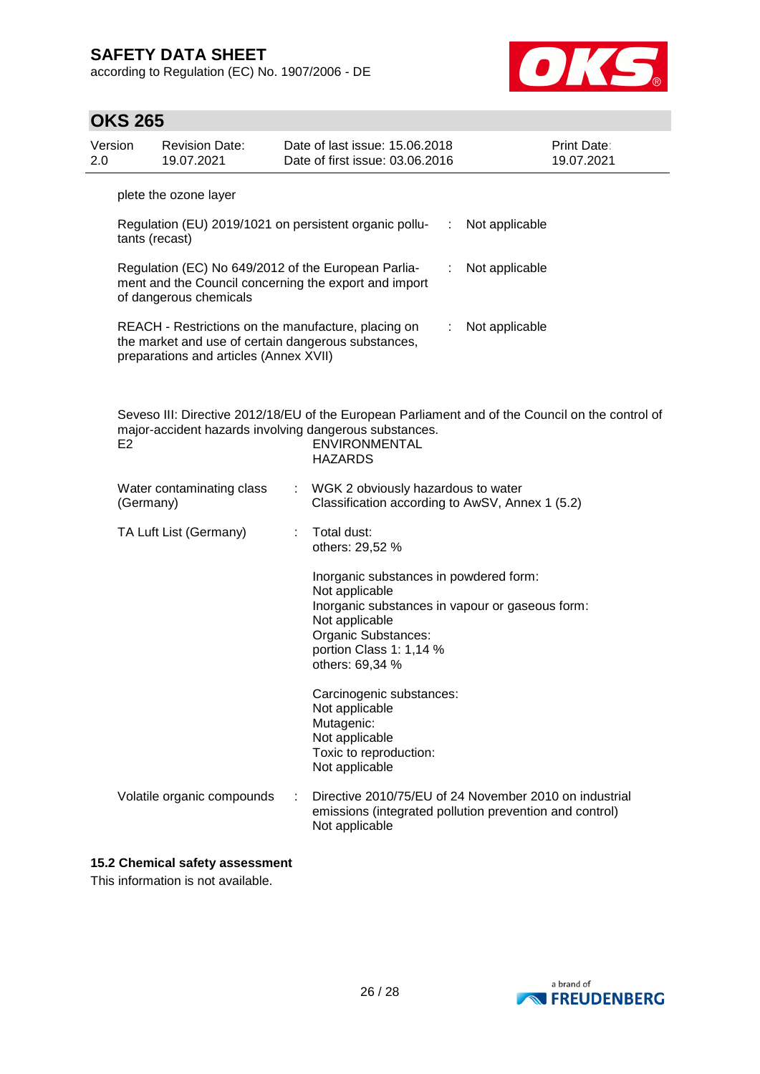according to Regulation (EC) No. 1907/2006 - DE



| <b>OKS 265</b> |
|----------------|
|----------------|

| 2.0 | Version                                                                                                                                | <b>Revision Date:</b><br>19.07.2021                                                                                                                  |    | Date of last issue: 15.06.2018<br>Date of first issue: 03.06.2016                                                                               |    | Print Date:<br>19.07.2021                                                                                         |  |  |
|-----|----------------------------------------------------------------------------------------------------------------------------------------|------------------------------------------------------------------------------------------------------------------------------------------------------|----|-------------------------------------------------------------------------------------------------------------------------------------------------|----|-------------------------------------------------------------------------------------------------------------------|--|--|
|     | plete the ozone layer                                                                                                                  |                                                                                                                                                      |    |                                                                                                                                                 |    |                                                                                                                   |  |  |
|     | tants (recast)                                                                                                                         |                                                                                                                                                      |    | Regulation (EU) 2019/1021 on persistent organic pollu-                                                                                          | ÷  | Not applicable                                                                                                    |  |  |
|     | Regulation (EC) No 649/2012 of the European Parlia-<br>ment and the Council concerning the export and import<br>of dangerous chemicals |                                                                                                                                                      |    |                                                                                                                                                 |    | Not applicable                                                                                                    |  |  |
|     |                                                                                                                                        | REACH - Restrictions on the manufacture, placing on<br>the market and use of certain dangerous substances,<br>preparations and articles (Annex XVII) |    |                                                                                                                                                 | ÷. | Not applicable                                                                                                    |  |  |
|     | E <sub>2</sub>                                                                                                                         |                                                                                                                                                      |    | major-accident hazards involving dangerous substances.<br><b>ENVIRONMENTAL</b><br><b>HAZARDS</b>                                                |    | Seveso III: Directive 2012/18/EU of the European Parliament and of the Council on the control of                  |  |  |
|     | (Germany)                                                                                                                              | Water contaminating class                                                                                                                            | t. | WGK 2 obviously hazardous to water<br>Classification according to AwSV, Annex 1 (5.2)                                                           |    |                                                                                                                   |  |  |
|     |                                                                                                                                        | TA Luft List (Germany)                                                                                                                               |    | Total dust:<br>others: 29,52 %                                                                                                                  |    |                                                                                                                   |  |  |
|     |                                                                                                                                        |                                                                                                                                                      |    | Inorganic substances in powdered form:<br>Not applicable<br>Not applicable<br>Organic Substances:<br>portion Class 1: 1,14 %<br>others: 69,34 % |    | Inorganic substances in vapour or gaseous form:                                                                   |  |  |
|     |                                                                                                                                        |                                                                                                                                                      |    | Carcinogenic substances:<br>Not applicable<br>Mutagenic:<br>Not applicable<br>Toxic to reproduction:<br>Not applicable                          |    |                                                                                                                   |  |  |
|     |                                                                                                                                        | Volatile organic compounds                                                                                                                           |    | Not applicable                                                                                                                                  |    | Directive 2010/75/EU of 24 November 2010 on industrial<br>emissions (integrated pollution prevention and control) |  |  |

### **15.2 Chemical safety assessment**

This information is not available.

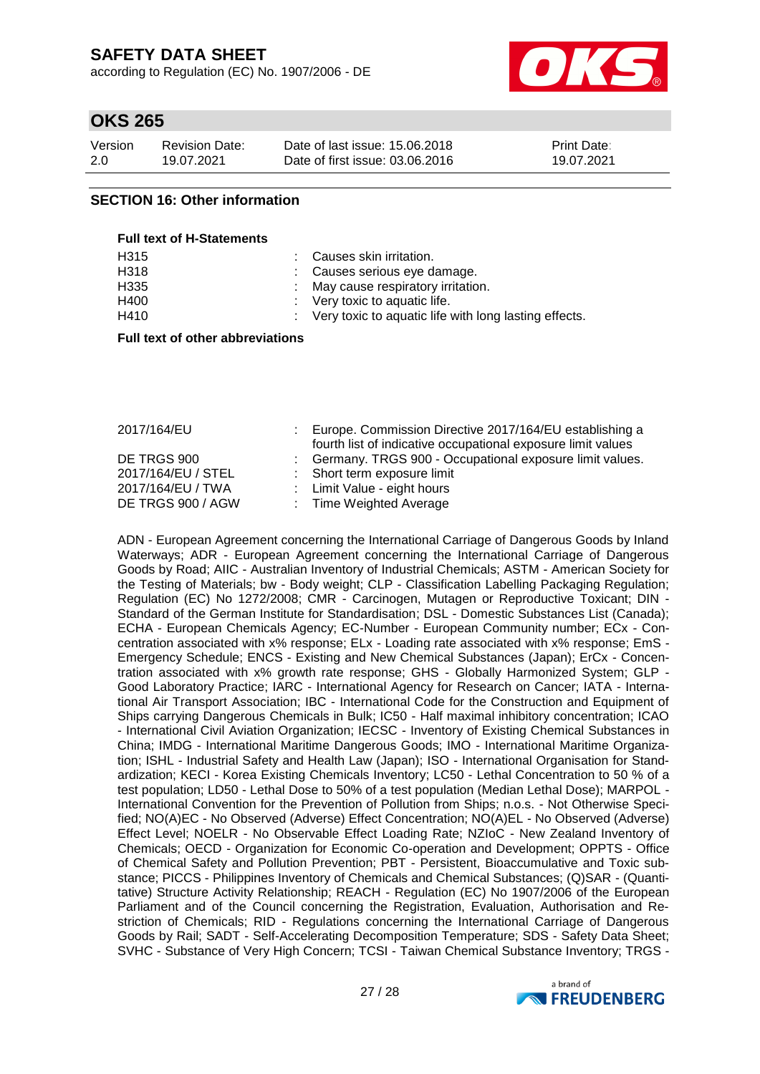according to Regulation (EC) No. 1907/2006 - DE



## **OKS 265**

| Version | <b>Revision Date:</b> | Date of last issue: 15,06,2018  | Print Date: |
|---------|-----------------------|---------------------------------|-------------|
| 2.0     | 19.07.2021            | Date of first issue: 03.06.2016 | 19.07.2021  |

### **SECTION 16: Other information**

 $F = H \times T \times T$ 

| <b>FULL LEXT OF H-STATEMENTS</b> |                                                         |
|----------------------------------|---------------------------------------------------------|
| H <sub>315</sub>                 | : Causes skin irritation.                               |
| H318                             | : Causes serious eye damage.                            |
| H335                             | : May cause respiratory irritation.                     |
| H400                             | $\therefore$ Very toxic to aquatic life.                |
| H410                             | : Very toxic to aquatic life with long lasting effects. |
|                                  |                                                         |

#### **Full text of other abbreviations**

| 2017/164/EU        | Europe. Commission Directive 2017/164/EU establishing a<br>fourth list of indicative occupational exposure limit values |
|--------------------|-------------------------------------------------------------------------------------------------------------------------|
| DE TRGS 900        | : Germany. TRGS 900 - Occupational exposure limit values.                                                               |
| 2017/164/EU / STEL | : Short term exposure limit                                                                                             |
| 2017/164/EU / TWA  | : Limit Value - eight hours                                                                                             |
| DE TRGS 900 / AGW  | : Time Weighted Average                                                                                                 |

ADN - European Agreement concerning the International Carriage of Dangerous Goods by Inland Waterways; ADR - European Agreement concerning the International Carriage of Dangerous Goods by Road; AIIC - Australian Inventory of Industrial Chemicals; ASTM - American Society for the Testing of Materials; bw - Body weight; CLP - Classification Labelling Packaging Regulation; Regulation (EC) No 1272/2008; CMR - Carcinogen, Mutagen or Reproductive Toxicant; DIN - Standard of the German Institute for Standardisation; DSL - Domestic Substances List (Canada); ECHA - European Chemicals Agency; EC-Number - European Community number; ECx - Concentration associated with x% response; ELx - Loading rate associated with x% response; EmS - Emergency Schedule; ENCS - Existing and New Chemical Substances (Japan); ErCx - Concentration associated with x% growth rate response; GHS - Globally Harmonized System; GLP - Good Laboratory Practice; IARC - International Agency for Research on Cancer; IATA - International Air Transport Association; IBC - International Code for the Construction and Equipment of Ships carrying Dangerous Chemicals in Bulk; IC50 - Half maximal inhibitory concentration; ICAO - International Civil Aviation Organization; IECSC - Inventory of Existing Chemical Substances in China; IMDG - International Maritime Dangerous Goods; IMO - International Maritime Organization; ISHL - Industrial Safety and Health Law (Japan); ISO - International Organisation for Standardization; KECI - Korea Existing Chemicals Inventory; LC50 - Lethal Concentration to 50 % of a test population; LD50 - Lethal Dose to 50% of a test population (Median Lethal Dose); MARPOL - International Convention for the Prevention of Pollution from Ships; n.o.s. - Not Otherwise Specified; NO(A)EC - No Observed (Adverse) Effect Concentration; NO(A)EL - No Observed (Adverse) Effect Level; NOELR - No Observable Effect Loading Rate; NZIoC - New Zealand Inventory of Chemicals; OECD - Organization for Economic Co-operation and Development; OPPTS - Office of Chemical Safety and Pollution Prevention; PBT - Persistent, Bioaccumulative and Toxic substance; PICCS - Philippines Inventory of Chemicals and Chemical Substances; (Q)SAR - (Quantitative) Structure Activity Relationship; REACH - Regulation (EC) No 1907/2006 of the European Parliament and of the Council concerning the Registration, Evaluation, Authorisation and Restriction of Chemicals; RID - Regulations concerning the International Carriage of Dangerous Goods by Rail; SADT - Self-Accelerating Decomposition Temperature; SDS - Safety Data Sheet; SVHC - Substance of Very High Concern; TCSI - Taiwan Chemical Substance Inventory; TRGS -